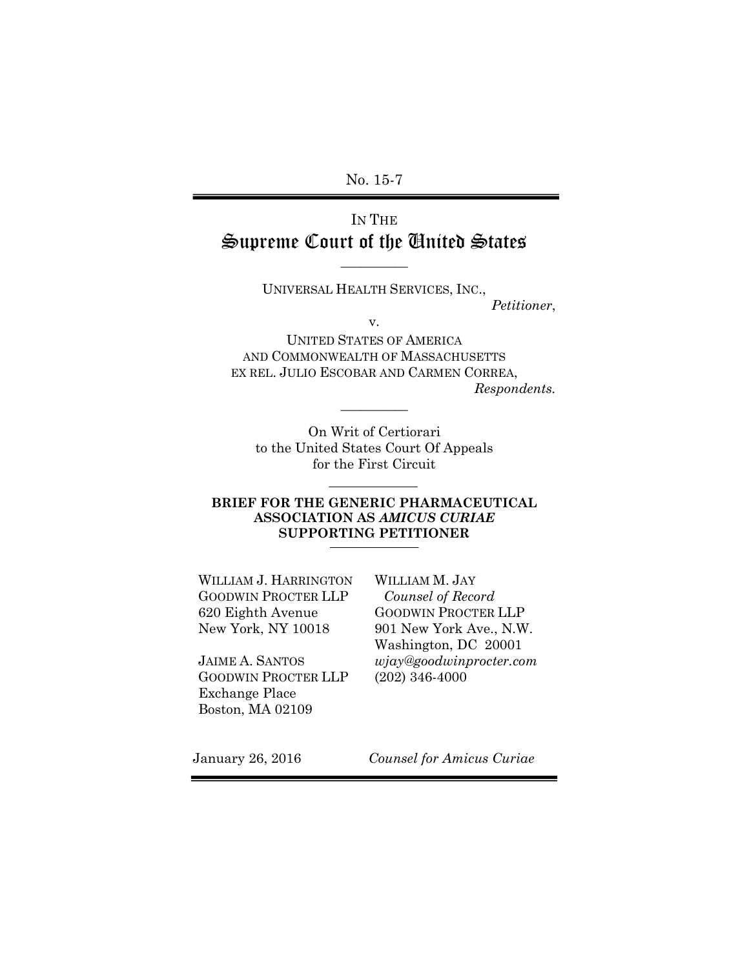No. 15-7

# IN THE Supreme Court of the United States

UNIVERSAL HEALTH SERVICES, INC.,

 $\overline{\phantom{a}}$  , where  $\overline{\phantom{a}}$ 

*Petitioner*,

v.

UNITED STATES OF AMERICA AND COMMONWEALTH OF MASSACHUSETTS EX REL. JULIO ESCOBAR AND CARMEN CORREA, *Respondents.*

On Writ of Certiorari to the United States Court Of Appeals for the First Circuit

**\_\_\_\_\_\_\_\_\_\_**

#### **BRIEF FOR THE GENERIC PHARMACEUTICAL ASSOCIATION AS** *AMICUS CURIAE* **SUPPORTING PETITIONER**

WILLIAM J. HARRINGTON GOODWIN PROCTER LLP 620 Eighth Avenue New York, NY 10018

JAIME A. SANTOS GOODWIN PROCTER LLP Exchange Place Boston, MA 02109

WILLIAM M. JAY *Counsel of Record* GOODWIN PROCTER LLP 901 New York Ave., N.W. Washington, DC 20001 *wjay@goodwinprocter.com* (202) 346-4000

January 26, 2016 *Counsel for Amicus Curiae*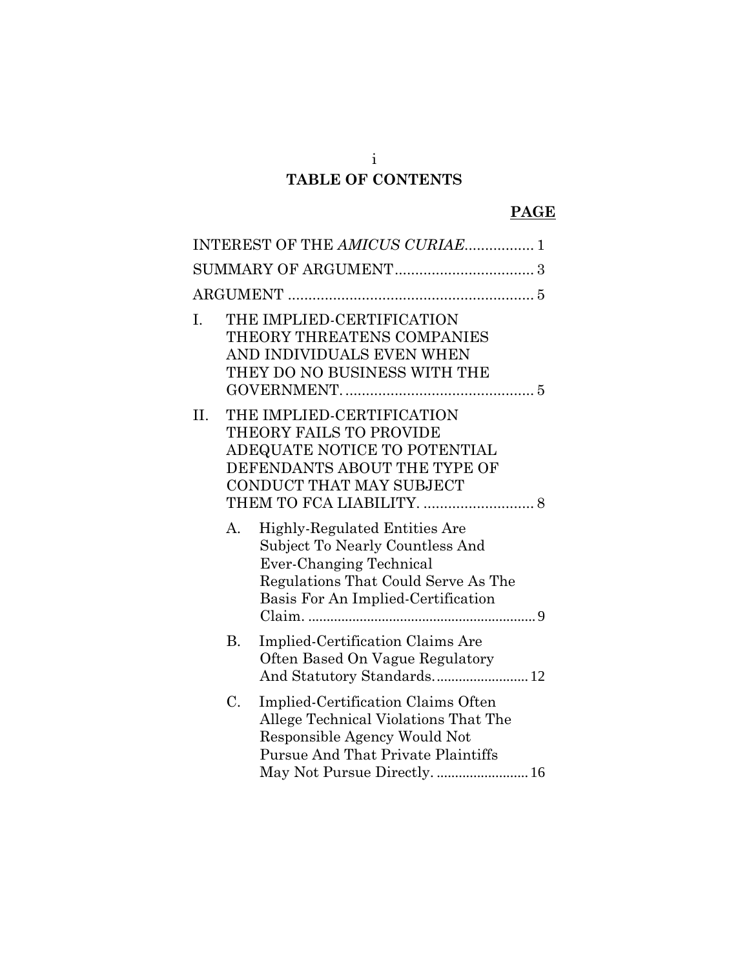# i **TABLE OF CONTENTS**

## **PAGE**

|     |                | INTEREST OF THE AMICUS CURIAE 1                                                                                                                                                         |  |
|-----|----------------|-----------------------------------------------------------------------------------------------------------------------------------------------------------------------------------------|--|
|     |                |                                                                                                                                                                                         |  |
|     |                |                                                                                                                                                                                         |  |
| I.  |                | THE IMPLIED-CERTIFICATION<br>THEORY THREATENS COMPANIES<br>AND INDIVIDUALS EVEN WHEN<br>THEY DO NO BUSINESS WITH THE                                                                    |  |
| II. |                | THE IMPLIED-CERTIFICATION<br>THEORY FAILS TO PROVIDE<br>ADEQUATE NOTICE TO POTENTIAL<br>DEFENDANTS ABOUT THE TYPE OF<br>CONDUCT THAT MAY SUBJECT                                        |  |
|     | A <sub>1</sub> | Highly-Regulated Entities Are<br>Subject To Nearly Countless And<br>Ever-Changing Technical<br>Regulations That Could Serve As The<br>Basis For An Implied-Certification                |  |
|     | B.             | Implied-Certification Claims Are<br>Often Based On Vague Regulatory<br>And Statutory Standards 12                                                                                       |  |
|     | C.             | Implied-Certification Claims Often<br>Allege Technical Violations That The<br>Responsible Agency Would Not<br><b>Pursue And That Private Plaintiffs</b><br>May Not Pursue Directly.  16 |  |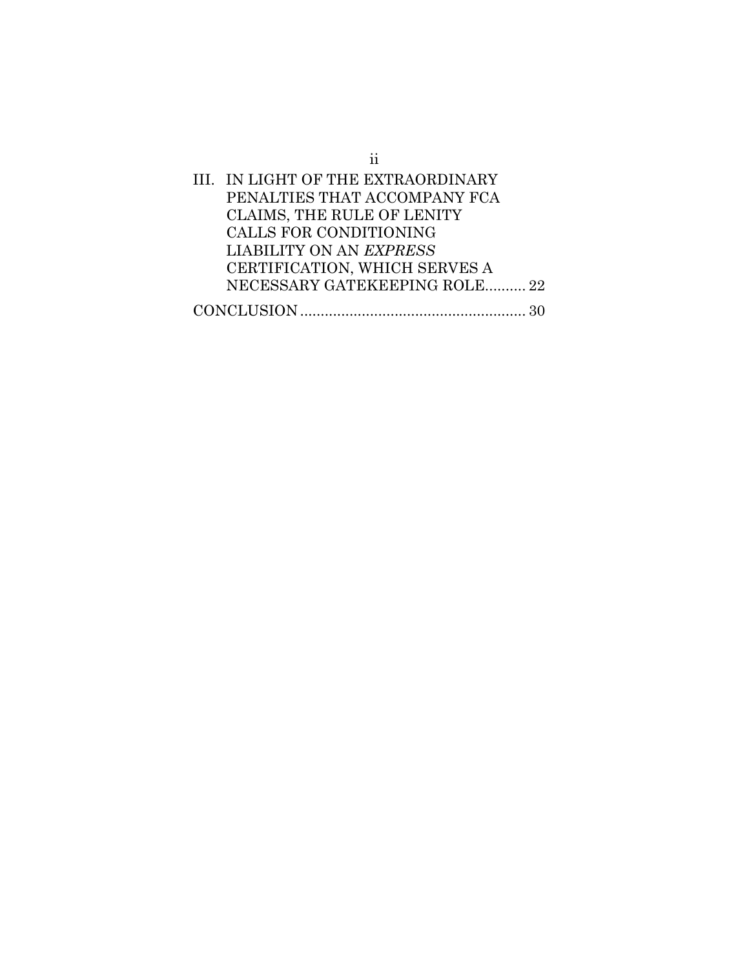| ij                                 |  |
|------------------------------------|--|
| III. IN LIGHT OF THE EXTRAORDINARY |  |
| PENALTIES THAT ACCOMPANY FCA       |  |
| <b>CLAIMS, THE RULE OF LENITY</b>  |  |
| CALLS FOR CONDITIONING             |  |
| LIABILITY ON AN EXPRESS            |  |
| CERTIFICATION, WHICH SERVES A      |  |
| NECESSARY GATEKEEPING ROLE 22      |  |
|                                    |  |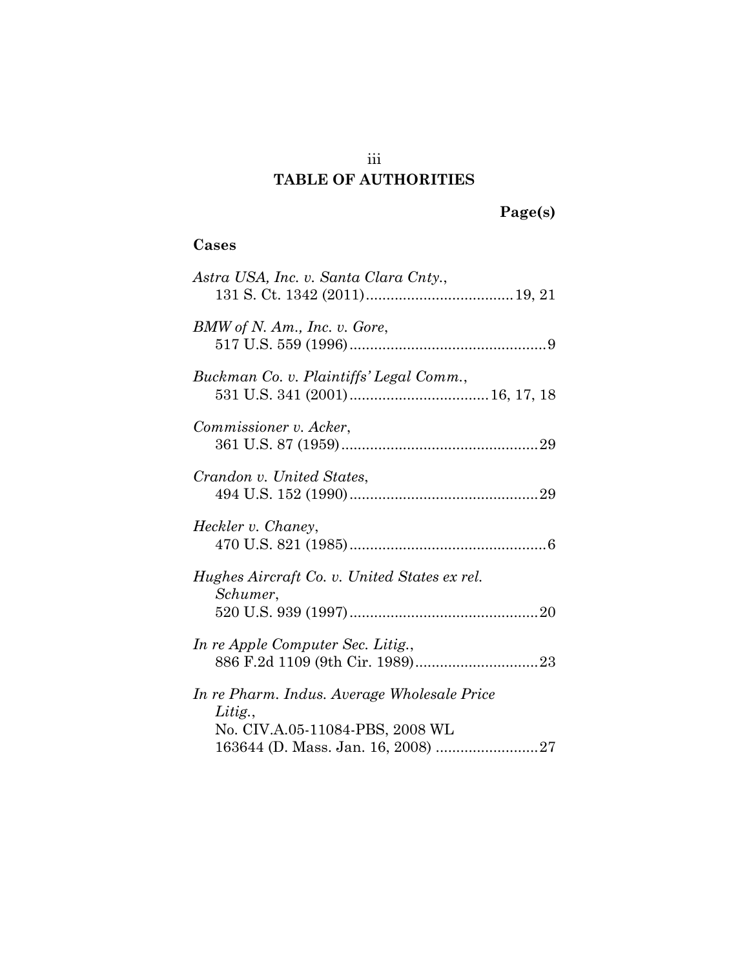## iii **TABLE OF AUTHORITIES**

## **Cases**

| Astra USA, Inc. v. Santa Clara Cnty.,                    |
|----------------------------------------------------------|
| BMW of N. Am., Inc. v. Gore,                             |
| Buckman Co. v. Plaintiffs' Legal Comm.,                  |
| Commissioner v. Acker,                                   |
| Crandon v. United States,                                |
| Heckler v. Chaney,                                       |
| Hughes Aircraft Co. v. United States ex rel.<br>Schumer, |
|                                                          |
| In re Apple Computer Sec. Litig.,                        |
| In re Pharm. Indus. Average Wholesale Price<br>Litig.,   |
| No. CIV.A.05-11084-PBS, 2008 WL                          |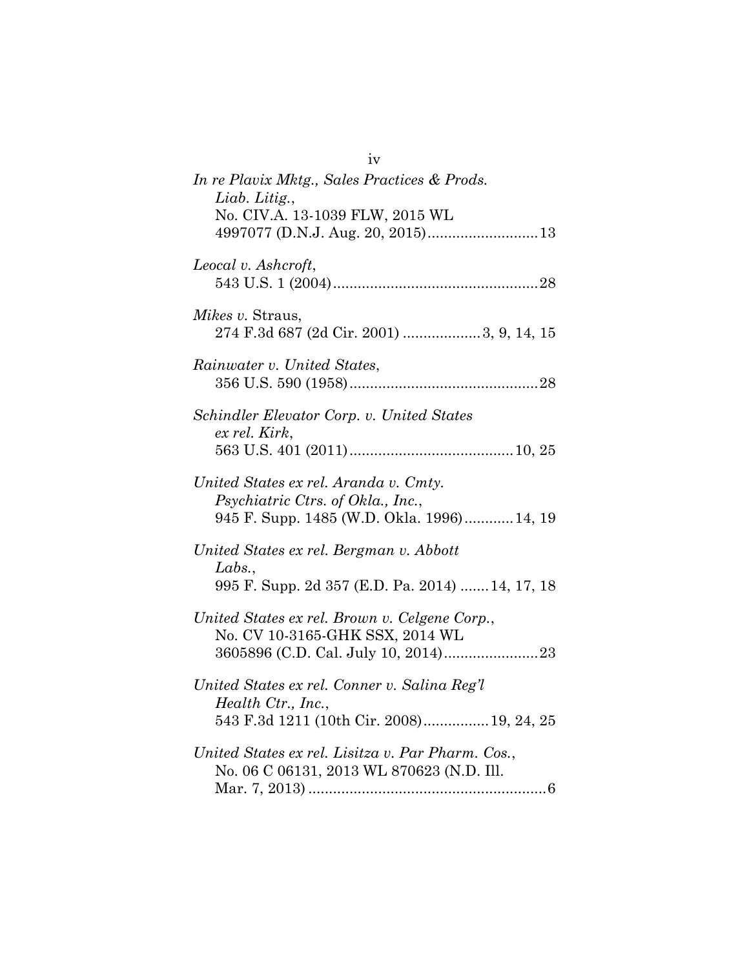| iv                                                                                                                      |
|-------------------------------------------------------------------------------------------------------------------------|
| In re Plavix Mktg., Sales Practices & Prods.<br>Liab. Litig.,                                                           |
| No. CIV.A. 13-1039 FLW, 2015 WL                                                                                         |
| Leocal v. Ashcroft,                                                                                                     |
| <i>Mikes v.</i> Straus,                                                                                                 |
| Rainwater v. United States,                                                                                             |
| Schindler Elevator Corp. v. United States<br>ex rel. Kirk,                                                              |
|                                                                                                                         |
| United States ex rel. Aranda v. Cmty.<br>Psychiatric Ctrs. of Okla., Inc.,<br>945 F. Supp. 1485 (W.D. Okla. 1996)14, 19 |
| United States ex rel. Bergman v. Abbott                                                                                 |
| Labs.,<br>995 F. Supp. 2d 357 (E.D. Pa. 2014)  14, 17, 18                                                               |
| United States ex rel. Brown v. Celgene Corp.,<br>No. CV 10-3165-GHK SSX, 2014 WL                                        |
| United States ex rel. Conner v. Salina Reg'l<br>Health Ctr., Inc.,<br>543 F.3d 1211 (10th Cir. 2008) 19, 24, 25         |
| United States ex rel. Lisitza v. Par Pharm. Cos.,<br>No. 06 C 06131, 2013 WL 870623 (N.D. Ill.                          |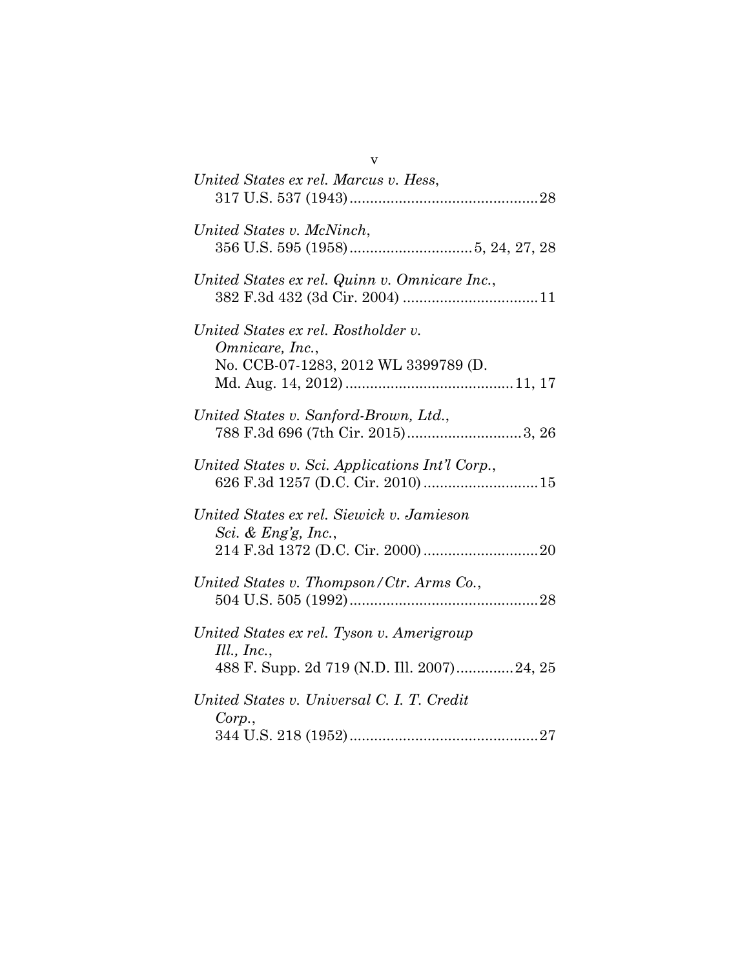| v                                                                                                                                          |
|--------------------------------------------------------------------------------------------------------------------------------------------|
| United States ex rel. Marcus v. Hess,                                                                                                      |
| United States v. McNinch,                                                                                                                  |
| United States ex rel. Quinn v. Omnicare Inc.,                                                                                              |
| United States ex rel. Rostholder v.<br>Omnicare, Inc.,<br>No. CCB-07-1283, 2012 WL 3399789 (D.                                             |
| United States v. Sanford-Brown, Ltd.,<br>$788$ F.3d $696$ (7th Cir. $2015) \dots \dots \dots \dots \dots \dots \dots \dots \dots 3, \, 26$ |
| United States v. Sci. Applications Int'l Corp.,<br>626 F.3d 1257 (D.C. Cir. 2010)  15                                                      |
| United States ex rel. Siewick v. Jamieson<br>Sci. & Eng'g, Inc.,                                                                           |
| United States v. Thompson/Ctr. Arms Co.,                                                                                                   |
| United States ex rel. Tyson v. Amerigroup<br>$Ill.$ , Inc.,<br>488 F. Supp. 2d 719 (N.D. Ill. 2007)24, 25                                  |
| United States v. Universal C. I. T. Credit<br>Corp.,                                                                                       |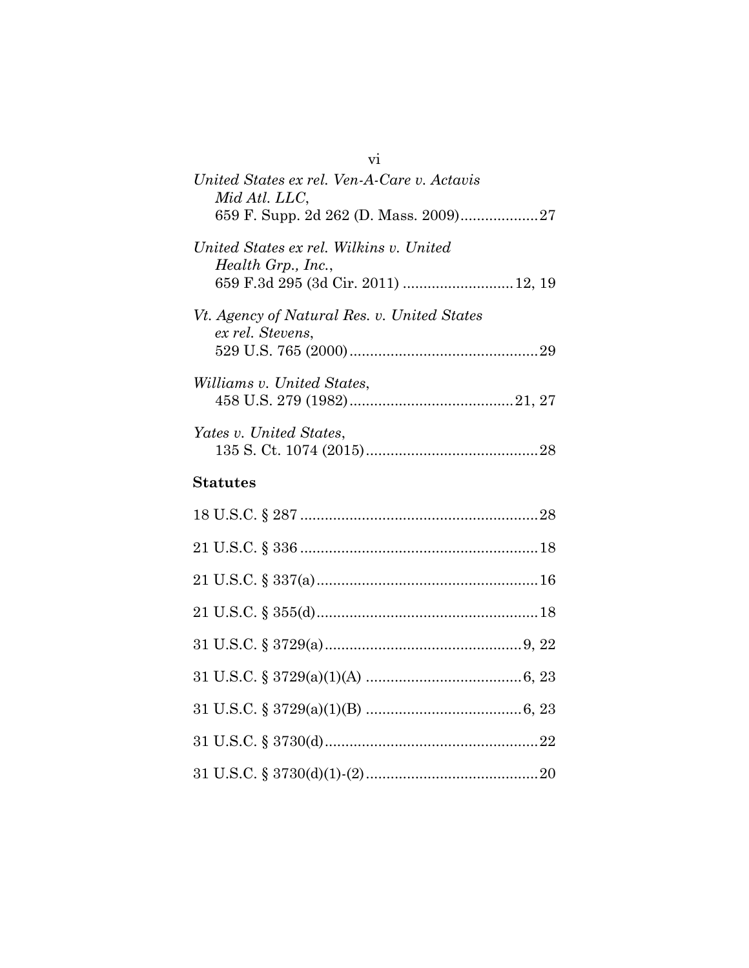| $\overline{v}$                                                                                        |
|-------------------------------------------------------------------------------------------------------|
| United States ex rel. Ven-A-Care v. Actavis<br>Mid Atl. LLC,<br>659 F. Supp. 2d 262 (D. Mass. 2009)27 |
| United States ex rel. Wilkins v. United<br>Health Grp., Inc.,<br>659 F.3d 295 (3d Cir. 2011)  12, 19  |
| Vt. Agency of Natural Res. v. United States<br>ex rel. Stevens,                                       |
| Williams v. United States,                                                                            |
| Yates v. United States,                                                                               |
| <b>Statutes</b>                                                                                       |
|                                                                                                       |
|                                                                                                       |
|                                                                                                       |
|                                                                                                       |
|                                                                                                       |
|                                                                                                       |
|                                                                                                       |
|                                                                                                       |
|                                                                                                       |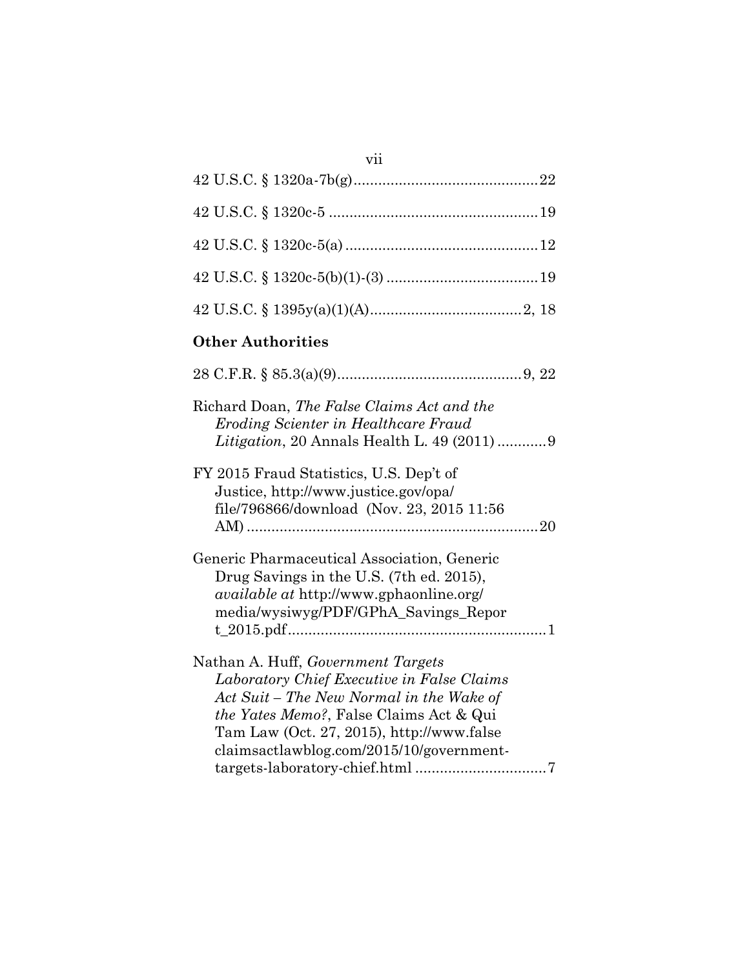| vii                                                                                                                                                                                                                                                                      |
|--------------------------------------------------------------------------------------------------------------------------------------------------------------------------------------------------------------------------------------------------------------------------|
|                                                                                                                                                                                                                                                                          |
|                                                                                                                                                                                                                                                                          |
|                                                                                                                                                                                                                                                                          |
|                                                                                                                                                                                                                                                                          |
|                                                                                                                                                                                                                                                                          |
| <b>Other Authorities</b>                                                                                                                                                                                                                                                 |
|                                                                                                                                                                                                                                                                          |
| Richard Doan, The False Claims Act and the<br>Eroding Scienter in Healthcare Fraud<br>Litigation, 20 Annals Health L. 49 (2011)  9                                                                                                                                       |
| FY 2015 Fraud Statistics, U.S. Dep't of<br>Justice, http://www.justice.gov/opa/<br>file/796866/download (Nov. 23, 2015 11:56                                                                                                                                             |
| Generic Pharmaceutical Association, Generic<br>Drug Savings in the U.S. (7th ed. 2015),<br><i>available at http://www.gphaonline.org/</i><br>media/wysiwyg/PDF/GPhA_Savings_Repor                                                                                        |
| Nathan A. Huff, Government Targets<br>Laboratory Chief Executive in False Claims<br>Act Suit – The New Normal in the Wake of<br><i>the Yates Memo?</i> , False Claims Act & Qui<br>Tam Law (Oct. 27, 2015), http://www.false<br>claimsactlawblog.com/2015/10/government- |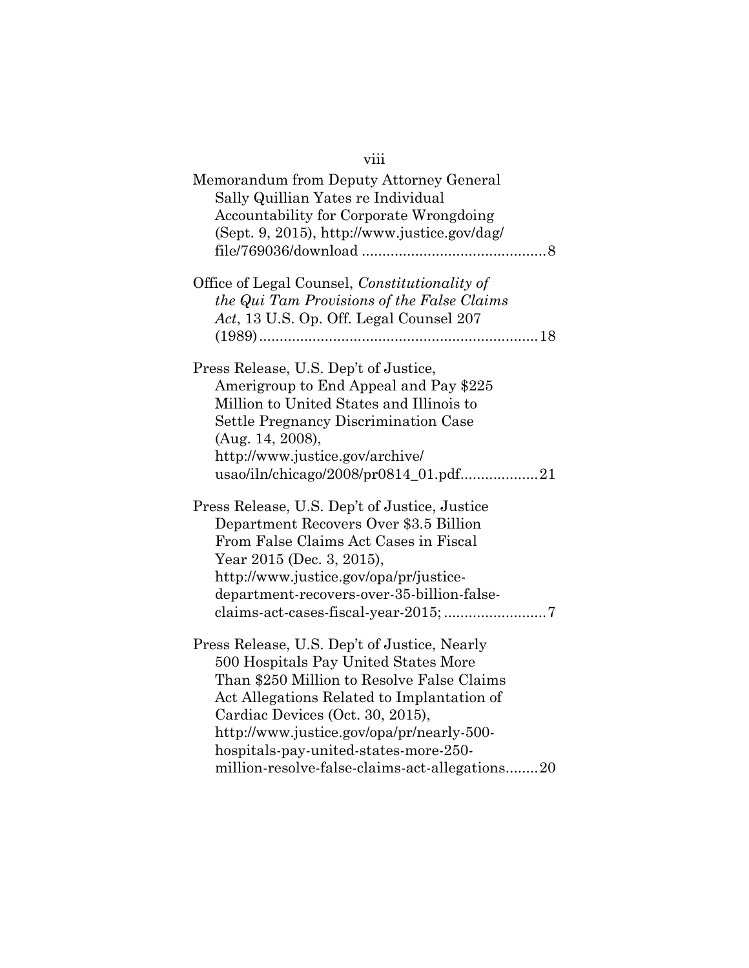| viii                                                                          |
|-------------------------------------------------------------------------------|
| Memorandum from Deputy Attorney General<br>Sally Quillian Yates re Individual |
| Accountability for Corporate Wrongdoing                                       |
| (Sept. 9, 2015), http://www.justice.gov/dag/                                  |
|                                                                               |
| Office of Legal Counsel, Constitutionality of                                 |
| the Qui Tam Provisions of the False Claims                                    |
| Act, 13 U.S. Op. Off. Legal Counsel 207                                       |
|                                                                               |
|                                                                               |
| Press Release, U.S. Dep't of Justice,                                         |
| Amerigroup to End Appeal and Pay \$225                                        |
| Million to United States and Illinois to                                      |
| Settle Pregnancy Discrimination Case                                          |
| (Aug. 14, 2008),                                                              |
| http://www.justice.gov/archive/                                               |
| usao/iln/chicago/2008/pr0814_01.pdf21                                         |
| Press Release, U.S. Dep't of Justice, Justice                                 |
| Department Recovers Over \$3.5 Billion                                        |
| From False Claims Act Cases in Fiscal                                         |
| Year 2015 (Dec. 3, 2015),                                                     |
| http://www.justice.gov/opa/pr/justice-                                        |
| department-recovers-over-35-billion-false-                                    |
|                                                                               |
| Press Release, U.S. Dep't of Justice, Nearly                                  |
| 500 Hospitals Pay United States More                                          |
| Than \$250 Million to Resolve False Claims                                    |
| Act Allegations Related to Implantation of                                    |
| Cardiac Devices (Oct. 30, 2015),                                              |
| http://www.justice.gov/opa/pr/nearly-500-                                     |
| hospitals-pay-united-states-more-250-                                         |
| million-resolve-false-claims-act-allegations20                                |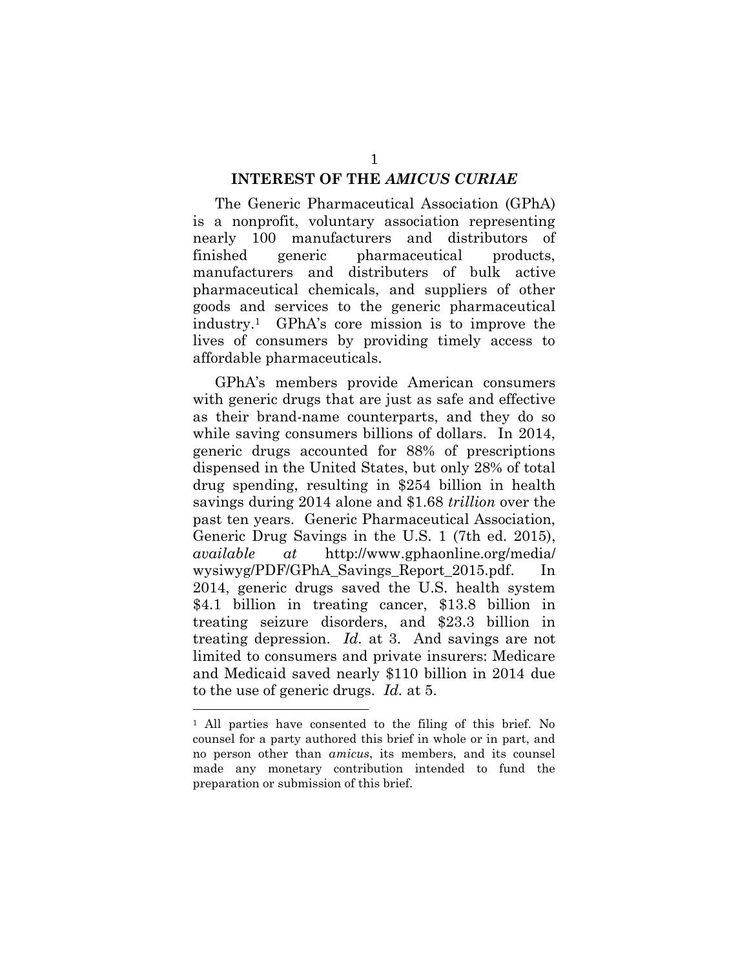#### **INTEREST OF THE** *AMICUS CURIAE*

The Generic Pharmaceutical Association (GPhA) is a nonprofit, voluntary association representing nearly 100 manufacturers and distributors of finished generic pharmaceutical products, manufacturers and distributers of bulk active pharmaceutical chemicals, and suppliers of other goods and services to the generic pharmaceutical industry.<sup>1</sup> GPhA's core mission is to improve the lives of consumers by providing timely access to affordable pharmaceuticals.

GPhA's members provide American consumers with generic drugs that are just as safe and effective as their brand-name counterparts, and they do so while saving consumers billions of dollars. In 2014, generic drugs accounted for 88% of prescriptions dispensed in the United States, but only 28% of total drug spending, resulting in \$254 billion in health savings during 2014 alone and \$1.68 *trillion* over the past ten years. Generic Pharmaceutical Association, Generic Drug Savings in the U.S. 1 (7th ed. 2015), *available at* http://www.gphaonline.org/media/ wysiwyg/PDF/GPhA\_Savings\_Report\_2015.pdf. 2014, generic drugs saved the U.S. health system \$4.1 billion in treating cancer, \$13.8 billion in treating seizure disorders, and \$23.3 billion in treating depression. *Id.* at 3. And savings are not limited to consumers and private insurers: Medicare and Medicaid saved nearly \$110 billion in 2014 due to the use of generic drugs. *Id.* at 5.

<sup>1</sup> All parties have consented to the filing of this brief. No counsel for a party authored this brief in whole or in part, and no person other than *amicus*, its members, and its counsel made any monetary contribution intended to fund the preparation or submission of this brief.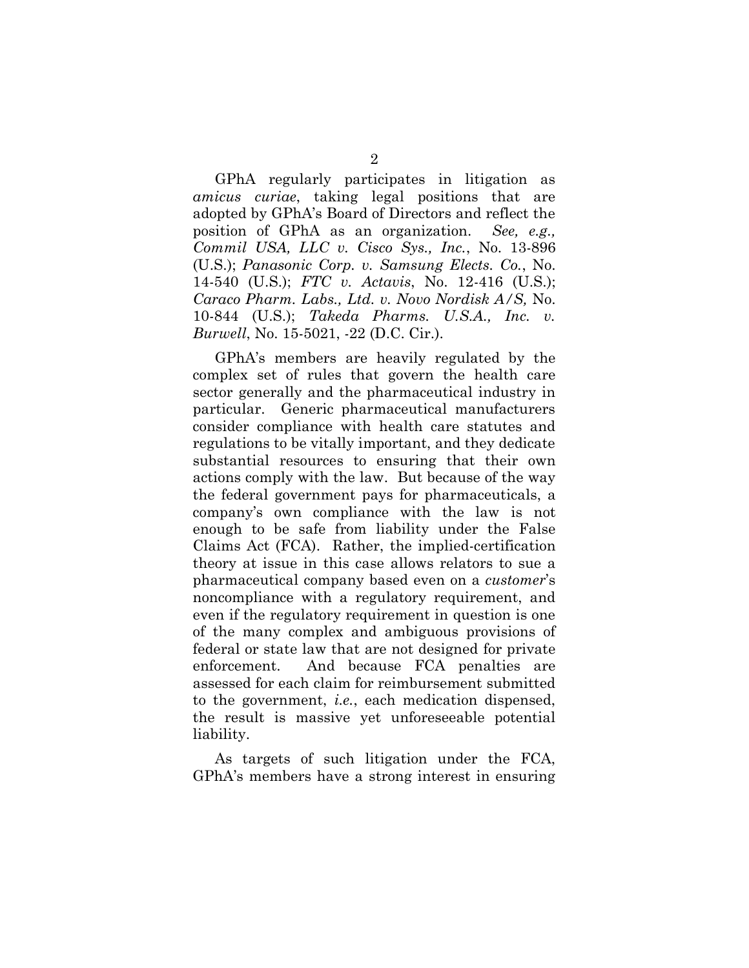GPhA regularly participates in litigation as *amicus curiae*, taking legal positions that are adopted by GPhA's Board of Directors and reflect the position of GPhA as an organization. *See, e.g., Commil USA, LLC v. Cisco Sys., Inc.*, No. 13-896 (U.S.); *Panasonic Corp. v. Samsung Elects. Co.*, No. 14-540 (U.S.); *FTC v. Actavis*, No. 12-416 (U.S.); *Caraco Pharm. Labs., Ltd. v. Novo Nordisk A/S,* No. 10-844 (U.S.); *Takeda Pharms. U.S.A., Inc. v. Burwell*, No. 15-5021, -22 (D.C. Cir.).

GPhA's members are heavily regulated by the complex set of rules that govern the health care sector generally and the pharmaceutical industry in particular. Generic pharmaceutical manufacturers consider compliance with health care statutes and regulations to be vitally important, and they dedicate substantial resources to ensuring that their own actions comply with the law. But because of the way the federal government pays for pharmaceuticals, a company's own compliance with the law is not enough to be safe from liability under the False Claims Act (FCA). Rather, the implied-certification theory at issue in this case allows relators to sue a pharmaceutical company based even on a *customer*'s noncompliance with a regulatory requirement, and even if the regulatory requirement in question is one of the many complex and ambiguous provisions of federal or state law that are not designed for private enforcement. And because FCA penalties are assessed for each claim for reimbursement submitted to the government, *i.e.*, each medication dispensed, the result is massive yet unforeseeable potential liability.

As targets of such litigation under the FCA, GPhA's members have a strong interest in ensuring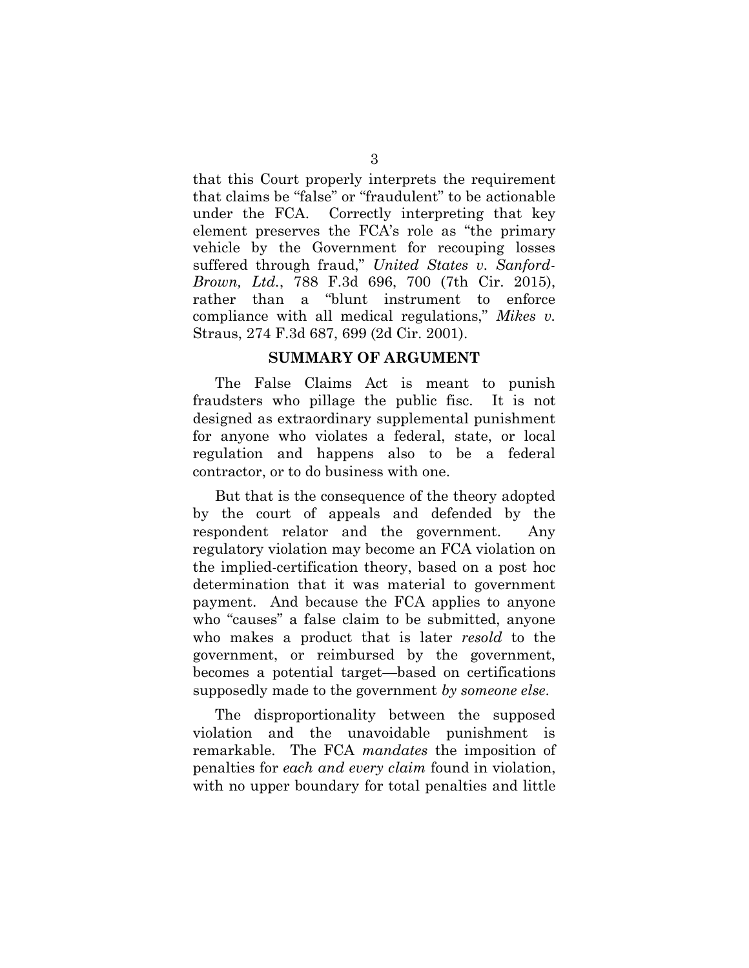that this Court properly interprets the requirement that claims be "false" or "fraudulent" to be actionable under the FCA. Correctly interpreting that key element preserves the FCA's role as "the primary vehicle by the Government for recouping losses suffered through fraud," *United States v. Sanford-Brown, Ltd.*, 788 F.3d 696, 700 (7th Cir. 2015), rather than a "blunt instrument to enforce compliance with all medical regulations," *Mikes v.*  Straus, 274 F.3d 687, 699 (2d Cir. 2001).

#### **SUMMARY OF ARGUMENT**

The False Claims Act is meant to punish fraudsters who pillage the public fisc. It is not designed as extraordinary supplemental punishment for anyone who violates a federal, state, or local regulation and happens also to be a federal contractor, or to do business with one.

But that is the consequence of the theory adopted by the court of appeals and defended by the respondent relator and the government. Any regulatory violation may become an FCA violation on the implied-certification theory, based on a post hoc determination that it was material to government payment. And because the FCA applies to anyone who "causes" a false claim to be submitted, anyone who makes a product that is later *resold* to the government, or reimbursed by the government, becomes a potential target—based on certifications supposedly made to the government *by someone else*.

The disproportionality between the supposed violation and the unavoidable punishment is remarkable. The FCA *mandates* the imposition of penalties for *each and every claim* found in violation, with no upper boundary for total penalties and little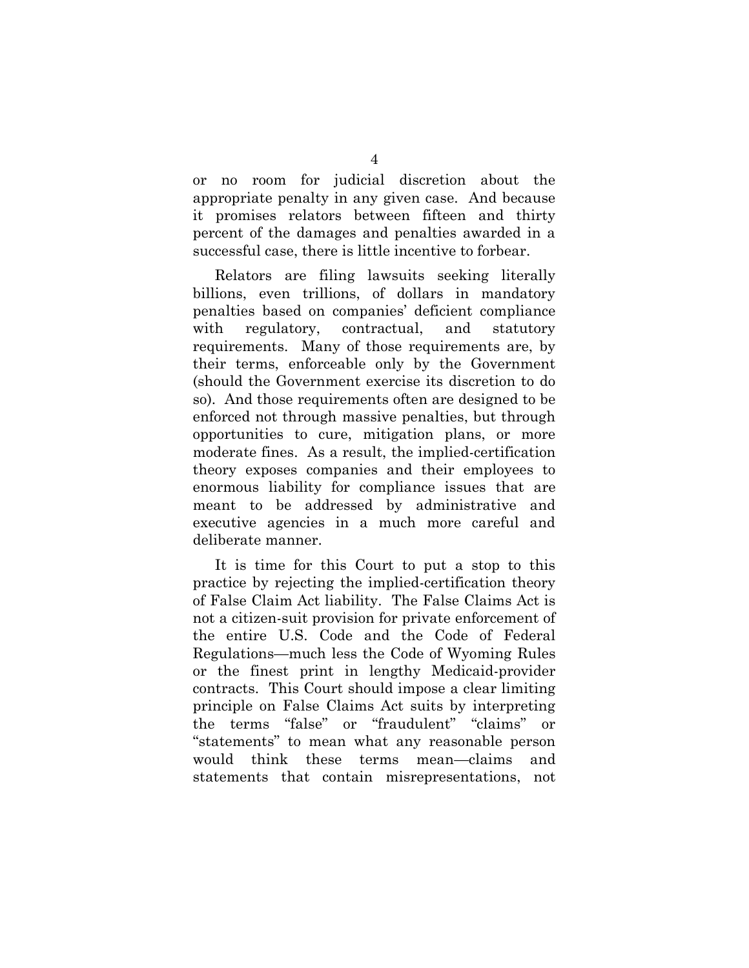or no room for judicial discretion about the appropriate penalty in any given case. And because it promises relators between fifteen and thirty percent of the damages and penalties awarded in a successful case, there is little incentive to forbear.

Relators are filing lawsuits seeking literally billions, even trillions, of dollars in mandatory penalties based on companies' deficient compliance with regulatory, contractual, and statutory requirements. Many of those requirements are, by their terms, enforceable only by the Government (should the Government exercise its discretion to do so). And those requirements often are designed to be enforced not through massive penalties, but through opportunities to cure, mitigation plans, or more moderate fines. As a result, the implied-certification theory exposes companies and their employees to enormous liability for compliance issues that are meant to be addressed by administrative and executive agencies in a much more careful and deliberate manner.

It is time for this Court to put a stop to this practice by rejecting the implied-certification theory of False Claim Act liability. The False Claims Act is not a citizen-suit provision for private enforcement of the entire U.S. Code and the Code of Federal Regulations—much less the Code of Wyoming Rules or the finest print in lengthy Medicaid-provider contracts. This Court should impose a clear limiting principle on False Claims Act suits by interpreting the terms "false" or "fraudulent" "claims" or "statements" to mean what any reasonable person would think these terms mean—claims and statements that contain misrepresentations, not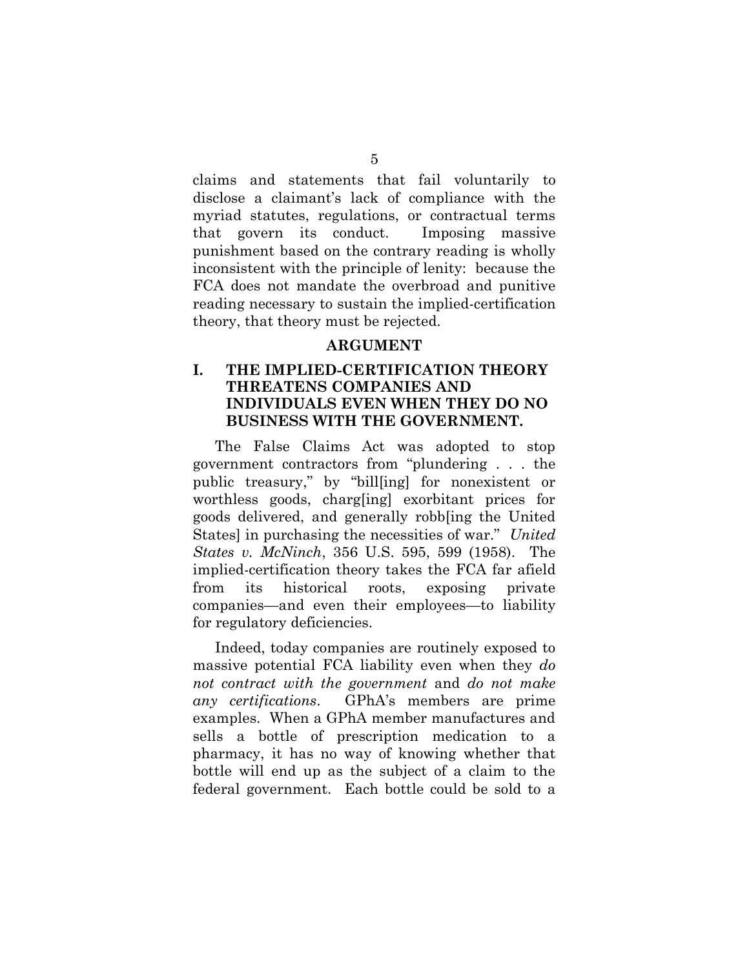claims and statements that fail voluntarily to disclose a claimant's lack of compliance with the myriad statutes, regulations, or contractual terms that govern its conduct. Imposing massive punishment based on the contrary reading is wholly inconsistent with the principle of lenity: because the FCA does not mandate the overbroad and punitive reading necessary to sustain the implied-certification theory, that theory must be rejected.

#### **ARGUMENT**

### **I. THE IMPLIED-CERTIFICATION THEORY THREATENS COMPANIES AND INDIVIDUALS EVEN WHEN THEY DO NO BUSINESS WITH THE GOVERNMENT.**

The False Claims Act was adopted to stop government contractors from "plundering . . . the public treasury," by "bill[ing] for nonexistent or worthless goods, charg[ing] exorbitant prices for goods delivered, and generally robb[ing the United States] in purchasing the necessities of war." *United States v. McNinch*, 356 U.S. 595, 599 (1958). The implied-certification theory takes the FCA far afield from its historical roots, exposing private companies—and even their employees—to liability for regulatory deficiencies.

Indeed, today companies are routinely exposed to massive potential FCA liability even when they *do not contract with the government* and *do not make any certifications*. GPhA's members are prime examples. When a GPhA member manufactures and sells a bottle of prescription medication to a pharmacy, it has no way of knowing whether that bottle will end up as the subject of a claim to the federal government. Each bottle could be sold to a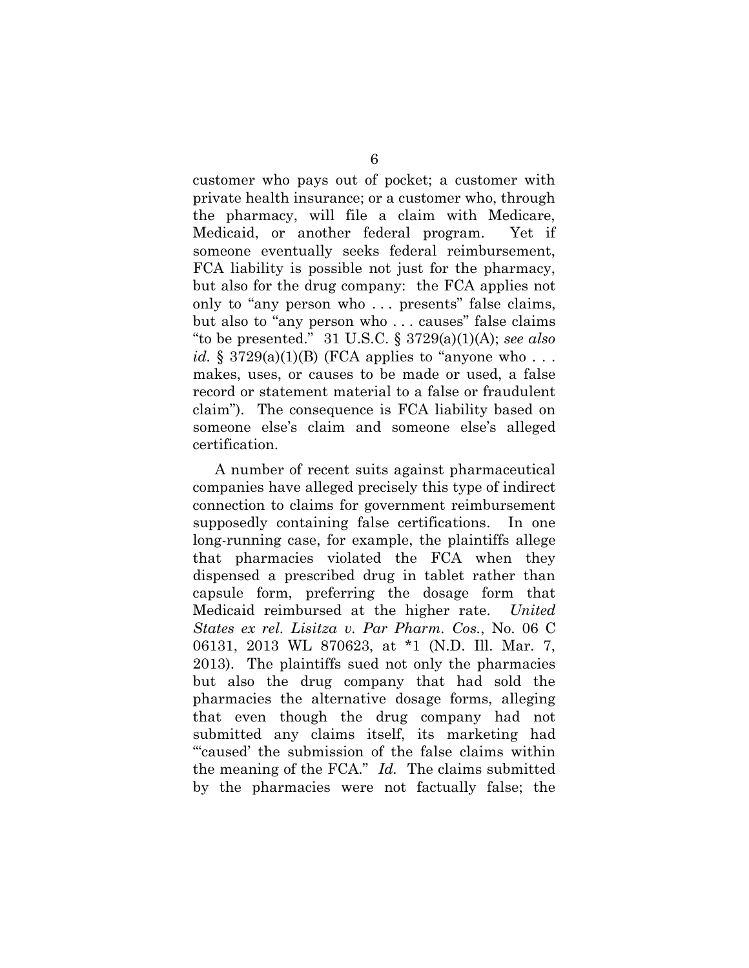customer who pays out of pocket; a customer with private health insurance; or a customer who, through the pharmacy, will file a claim with Medicare, Medicaid, or another federal program. Yet if someone eventually seeks federal reimbursement, FCA liability is possible not just for the pharmacy, but also for the drug company: the FCA applies not only to "any person who . . . presents" false claims, but also to "any person who . . . causes" false claims "to be presented." 31 U.S.C. § 3729(a)(1)(A); *see also id.*  $\S 3729(a)(1)(B)$  (FCA applies to "anyone who... makes, uses, or causes to be made or used, a false record or statement material to a false or fraudulent claim"). The consequence is FCA liability based on someone else's claim and someone else's alleged certification.

A number of recent suits against pharmaceutical companies have alleged precisely this type of indirect connection to claims for government reimbursement supposedly containing false certifications. In one long-running case, for example, the plaintiffs allege that pharmacies violated the FCA when they dispensed a prescribed drug in tablet rather than capsule form, preferring the dosage form that Medicaid reimbursed at the higher rate. *United States ex rel. Lisitza v. Par Pharm. Cos.*, No. 06 C 06131, 2013 WL 870623, at \*1 (N.D. Ill. Mar. 7, 2013). The plaintiffs sued not only the pharmacies but also the drug company that had sold the pharmacies the alternative dosage forms, alleging that even though the drug company had not submitted any claims itself, its marketing had "'caused' the submission of the false claims within the meaning of the FCA." *Id.* The claims submitted by the pharmacies were not factually false; the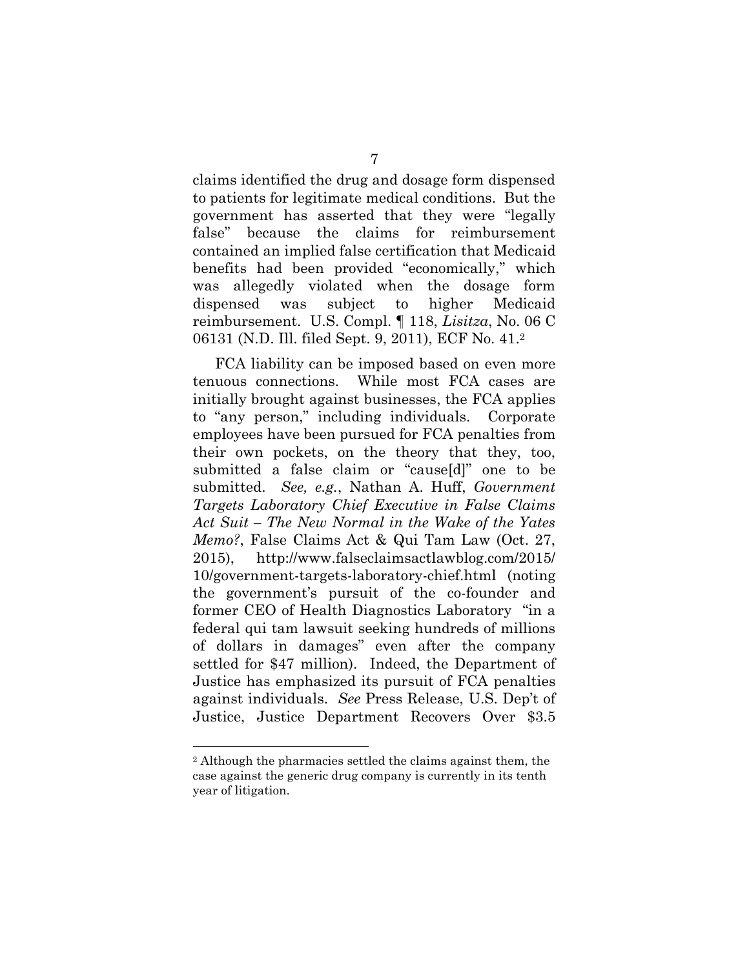claims identified the drug and dosage form dispensed to patients for legitimate medical conditions. But the government has asserted that they were "legally false" because the claims for reimbursement contained an implied false certification that Medicaid benefits had been provided "economically," which was allegedly violated when the dosage form dispensed was subject to higher Medicaid reimbursement. U.S. Compl. ¶ 118, *Lisitza*, No. 06 C 06131 (N.D. Ill. filed Sept. 9, 2011), ECF No. 41. 2

FCA liability can be imposed based on even more tenuous connections. While most FCA cases are initially brought against businesses, the FCA applies to "any person," including individuals. Corporate employees have been pursued for FCA penalties from their own pockets, on the theory that they, too, submitted a false claim or "cause[d]" one to be submitted. *See, e.g.*, Nathan A. Huff, *Government Targets Laboratory Chief Executive in False Claims Act Suit – The New Normal in the Wake of the Yates Memo?*, False Claims Act & Qui Tam Law (Oct. 27, 2015), http://www.falseclaimsactlawblog.com/2015/ 10/government-targets-laboratory-chief.html (noting the government's pursuit of the co-founder and former CEO of Health Diagnostics Laboratory "in a federal qui tam lawsuit seeking hundreds of millions of dollars in damages" even after the company settled for \$47 million). Indeed, the Department of Justice has emphasized its pursuit of FCA penalties against individuals. *See* Press Release, U.S. Dep't of Justice, Justice Department Recovers Over \$3.5

<sup>2</sup> Although the pharmacies settled the claims against them, the case against the generic drug company is currently in its tenth year of litigation.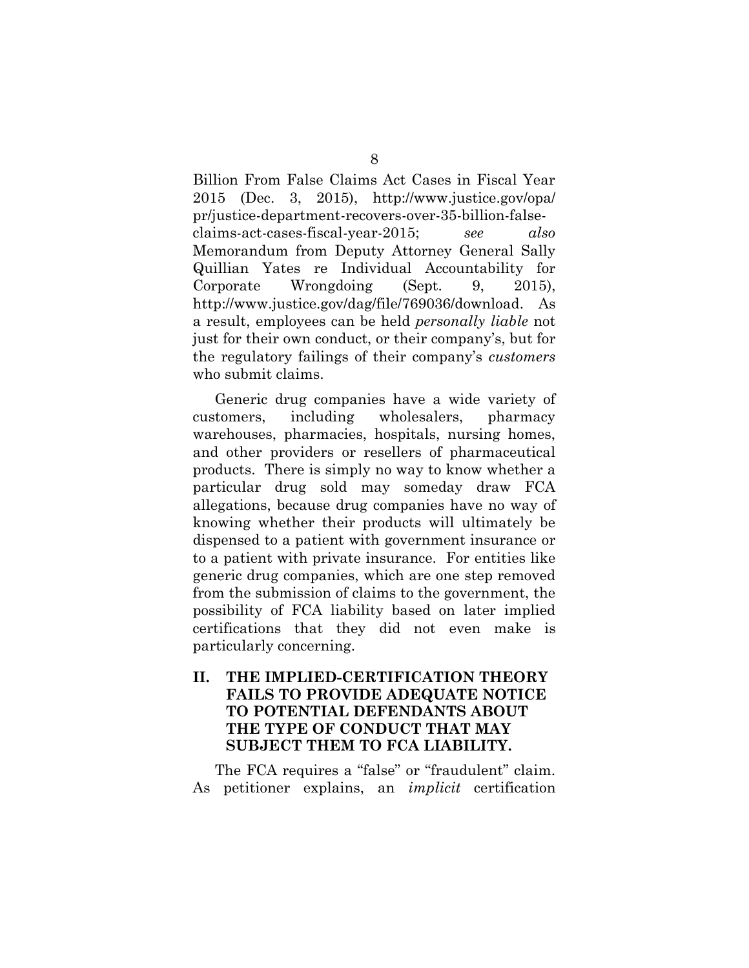Billion From False Claims Act Cases in Fiscal Year 2015 (Dec. 3, 2015), http://www.justice.gov/opa/ pr/justice-department-recovers-over-35-billion-falseclaims-act-cases-fiscal-year-2015; *see also*  Memorandum from Deputy Attorney General Sally Quillian Yates re Individual Accountability for Corporate Wrongdoing (Sept. 9, 2015), http://www.justice.gov/dag/file/769036/download. As a result, employees can be held *personally liable* not just for their own conduct, or their company's, but for the regulatory failings of their company's *customers* who submit claims.

Generic drug companies have a wide variety of customers, including wholesalers, pharmacy warehouses, pharmacies, hospitals, nursing homes, and other providers or resellers of pharmaceutical products. There is simply no way to know whether a particular drug sold may someday draw FCA allegations, because drug companies have no way of knowing whether their products will ultimately be dispensed to a patient with government insurance or to a patient with private insurance. For entities like generic drug companies, which are one step removed from the submission of claims to the government, the possibility of FCA liability based on later implied certifications that they did not even make is particularly concerning.

## **II. THE IMPLIED-CERTIFICATION THEORY FAILS TO PROVIDE ADEQUATE NOTICE TO POTENTIAL DEFENDANTS ABOUT THE TYPE OF CONDUCT THAT MAY SUBJECT THEM TO FCA LIABILITY.**

The FCA requires a "false" or "fraudulent" claim. As petitioner explains, an *implicit* certification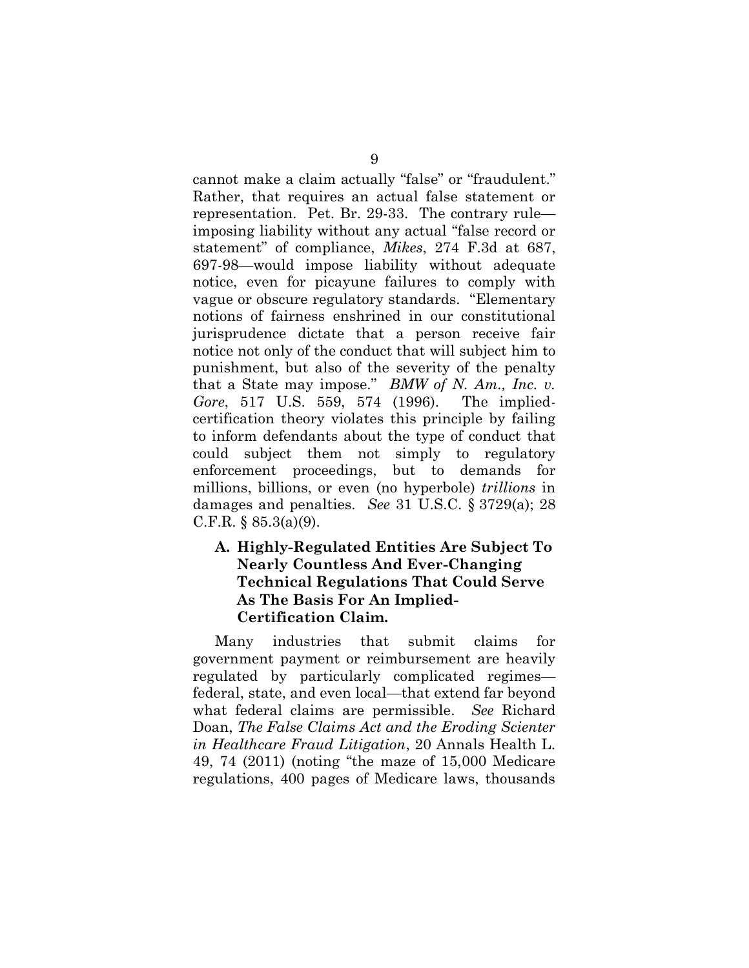cannot make a claim actually "false" or "fraudulent." Rather, that requires an actual false statement or representation. Pet. Br. 29-33. The contrary rule imposing liability without any actual "false record or statement" of compliance, *Mikes*, 274 F.3d at 687, 697-98—would impose liability without adequate notice, even for picayune failures to comply with vague or obscure regulatory standards. "Elementary notions of fairness enshrined in our constitutional jurisprudence dictate that a person receive fair notice not only of the conduct that will subject him to punishment, but also of the severity of the penalty that a State may impose." *BMW of N. Am., Inc. v. Gore*, 517 U.S. 559, 574 (1996). The impliedcertification theory violates this principle by failing to inform defendants about the type of conduct that could subject them not simply to regulatory enforcement proceedings, but to demands for millions, billions, or even (no hyperbole) *trillions* in damages and penalties. *See* 31 U.S.C. § 3729(a); 28 C.F.R.  $\S 85.3(a)(9)$ .

## **A. Highly-Regulated Entities Are Subject To Nearly Countless And Ever-Changing Technical Regulations That Could Serve As The Basis For An Implied-Certification Claim.**

Many industries that submit claims for government payment or reimbursement are heavily regulated by particularly complicated regimes federal, state, and even local—that extend far beyond what federal claims are permissible. *See* Richard Doan, *The False Claims Act and the Eroding Scienter in Healthcare Fraud Litigation*, 20 Annals Health L. 49, 74 (2011) (noting "the maze of 15,000 Medicare regulations, 400 pages of Medicare laws, thousands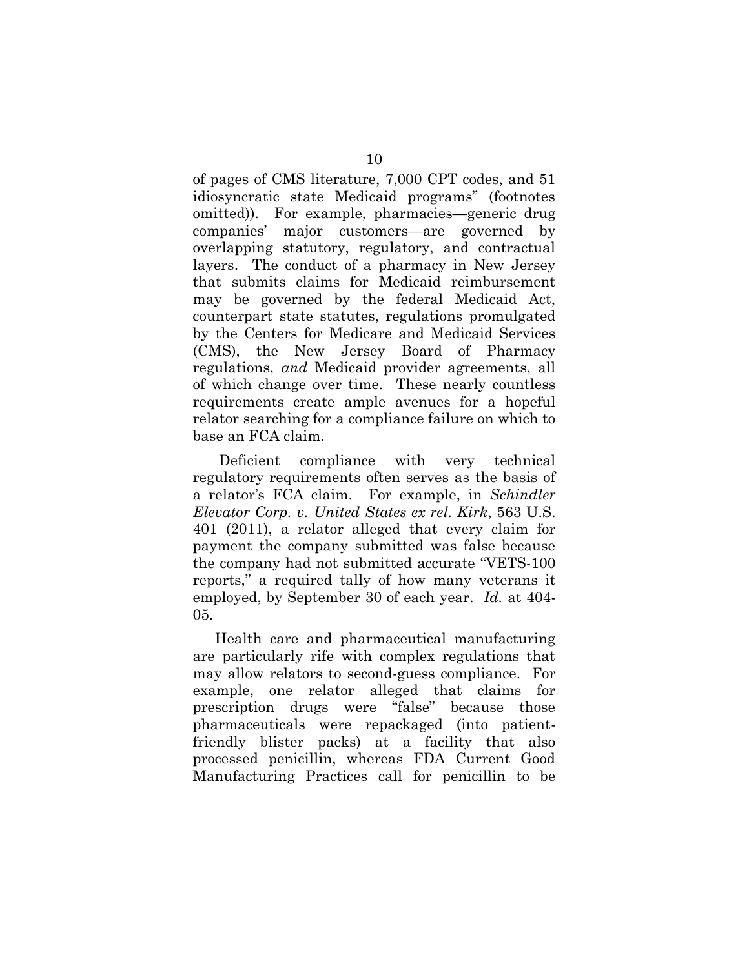of pages of CMS literature, 7,000 CPT codes, and 51 idiosyncratic state Medicaid programs" (footnotes omitted)). For example, pharmacies—generic drug companies' major customers—are governed by overlapping statutory, regulatory, and contractual layers. The conduct of a pharmacy in New Jersey that submits claims for Medicaid reimbursement may be governed by the federal Medicaid Act, counterpart state statutes, regulations promulgated by the Centers for Medicare and Medicaid Services (CMS), the New Jersey Board of Pharmacy regulations, *and* Medicaid provider agreements, all of which change over time. These nearly countless requirements create ample avenues for a hopeful relator searching for a compliance failure on which to base an FCA claim.

Deficient compliance with very technical regulatory requirements often serves as the basis of a relator's FCA claim. For example, in *Schindler Elevator Corp. v. United States ex rel. Kirk*, 563 U.S. 401 (2011), a relator alleged that every claim for payment the company submitted was false because the company had not submitted accurate "VETS-100 reports," a required tally of how many veterans it employed, by September 30 of each year. *Id.* at 404- 05.

Health care and pharmaceutical manufacturing are particularly rife with complex regulations that may allow relators to second-guess compliance. For example, one relator alleged that claims for prescription drugs were "false" because those pharmaceuticals were repackaged (into patientfriendly blister packs) at a facility that also processed penicillin, whereas FDA Current Good Manufacturing Practices call for penicillin to be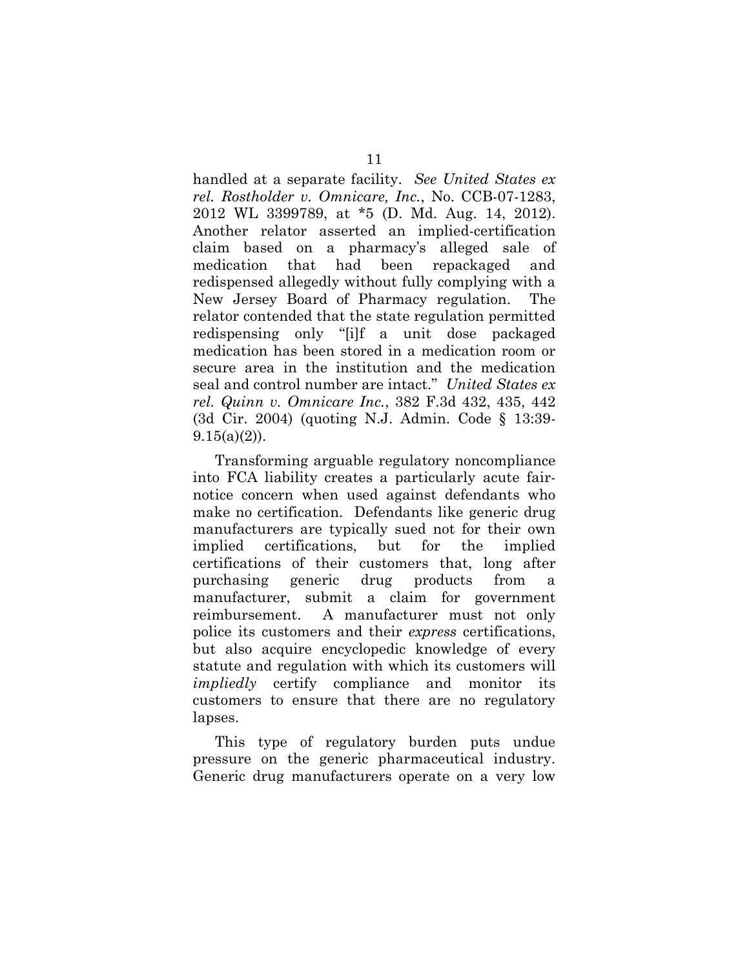handled at a separate facility. *See United States ex rel. Rostholder v. Omnicare, Inc.*, No. CCB-07-1283, 2012 WL 3399789, at \*5 (D. Md. Aug. 14, 2012). Another relator asserted an implied-certification claim based on a pharmacy's alleged sale of medication that had been repackaged and redispensed allegedly without fully complying with a New Jersey Board of Pharmacy regulation. The relator contended that the state regulation permitted redispensing only "[i]f a unit dose packaged medication has been stored in a medication room or secure area in the institution and the medication seal and control number are intact." *United States ex rel. Quinn v. Omnicare Inc.*, 382 F.3d 432, 435, 442 (3d Cir. 2004) (quoting N.J. Admin. Code § 13:39-  $9.15(a)(2)$ ).

Transforming arguable regulatory noncompliance into FCA liability creates a particularly acute fairnotice concern when used against defendants who make no certification. Defendants like generic drug manufacturers are typically sued not for their own implied certifications, but for the implied certifications of their customers that, long after purchasing generic drug products from manufacturer, submit a claim for government reimbursement. A manufacturer must not only police its customers and their *express* certifications, but also acquire encyclopedic knowledge of every statute and regulation with which its customers will *impliedly* certify compliance and monitor its customers to ensure that there are no regulatory lapses.

This type of regulatory burden puts undue pressure on the generic pharmaceutical industry. Generic drug manufacturers operate on a very low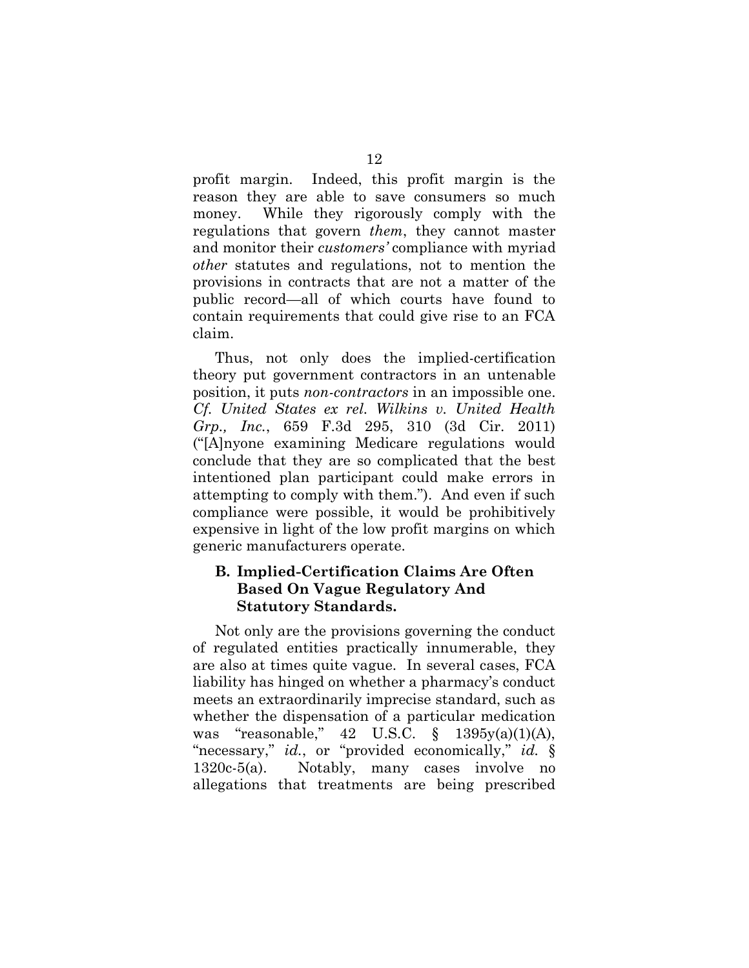profit margin. Indeed, this profit margin is the reason they are able to save consumers so much money. While they rigorously comply with the regulations that govern *them*, they cannot master and monitor their *customers'* compliance with myriad *other* statutes and regulations, not to mention the provisions in contracts that are not a matter of the public record—all of which courts have found to contain requirements that could give rise to an FCA claim.

Thus, not only does the implied-certification theory put government contractors in an untenable position, it puts *non-contractors* in an impossible one. *Cf. United States ex rel. Wilkins v. United Health Grp., Inc.*, 659 F.3d 295, 310 (3d Cir. 2011) ("[A]nyone examining Medicare regulations would conclude that they are so complicated that the best intentioned plan participant could make errors in attempting to comply with them."). And even if such compliance were possible, it would be prohibitively expensive in light of the low profit margins on which generic manufacturers operate.

### **B. Implied-Certification Claims Are Often Based On Vague Regulatory And Statutory Standards.**

Not only are the provisions governing the conduct of regulated entities practically innumerable, they are also at times quite vague. In several cases, FCA liability has hinged on whether a pharmacy's conduct meets an extraordinarily imprecise standard, such as whether the dispensation of a particular medication was "reasonable," 42 U.S.C. § 1395y(a)(1)(A), "necessary," *id.*, or "provided economically," *id.* § 1320c-5(a). Notably, many cases involve no allegations that treatments are being prescribed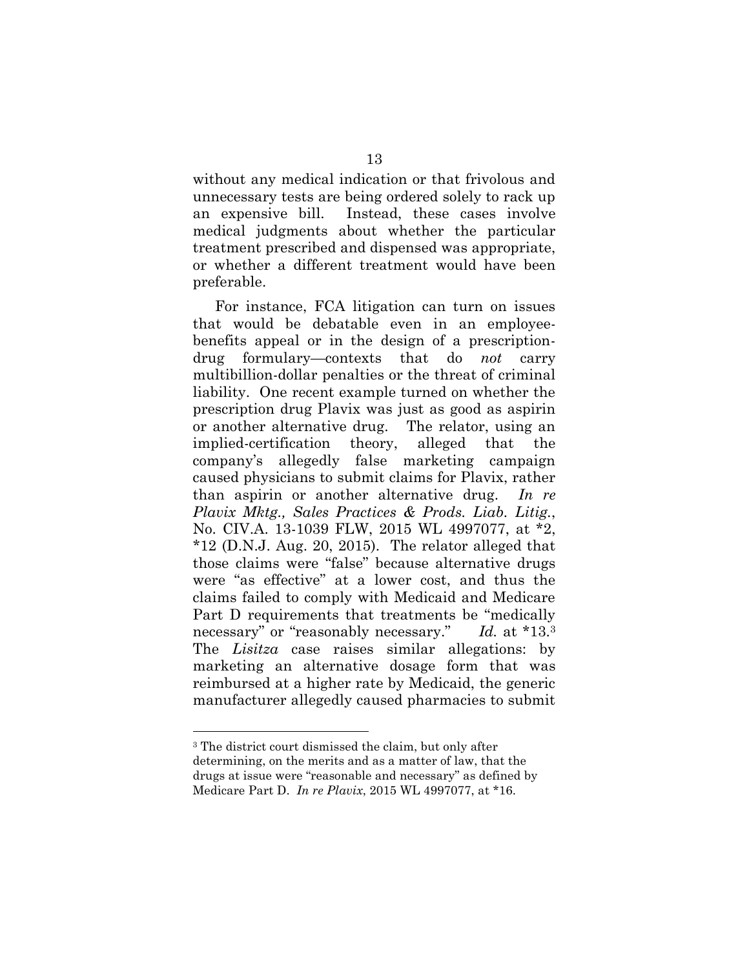without any medical indication or that frivolous and unnecessary tests are being ordered solely to rack up an expensive bill. Instead, these cases involve medical judgments about whether the particular treatment prescribed and dispensed was appropriate, or whether a different treatment would have been preferable.

For instance, FCA litigation can turn on issues that would be debatable even in an employeebenefits appeal or in the design of a prescriptiondrug formulary—contexts that do *not* carry multibillion-dollar penalties or the threat of criminal liability. One recent example turned on whether the prescription drug Plavix was just as good as aspirin or another alternative drug. The relator, using an implied-certification theory, alleged that the company's allegedly false marketing campaign caused physicians to submit claims for Plavix, rather than aspirin or another alternative drug. *In re Plavix Mktg., Sales Practices & Prods. Liab. Litig.*, No. CIV.A. 13-1039 FLW, 2015 WL 4997077, at \*2,  $*12$  (D.N.J. Aug. 20, 2015). The relator alleged that those claims were "false" because alternative drugs were "as effective" at a lower cost, and thus the claims failed to comply with Medicaid and Medicare Part D requirements that treatments be "medically necessary" or "reasonably necessary." *Id.* at \*13.<sup>3</sup> The *Lisitza* case raises similar allegations: by marketing an alternative dosage form that was reimbursed at a higher rate by Medicaid, the generic manufacturer allegedly caused pharmacies to submit

<sup>3</sup> The district court dismissed the claim, but only after determining, on the merits and as a matter of law, that the drugs at issue were "reasonable and necessary" as defined by Medicare Part D. *In re Plavix*, 2015 WL 4997077, at \*16.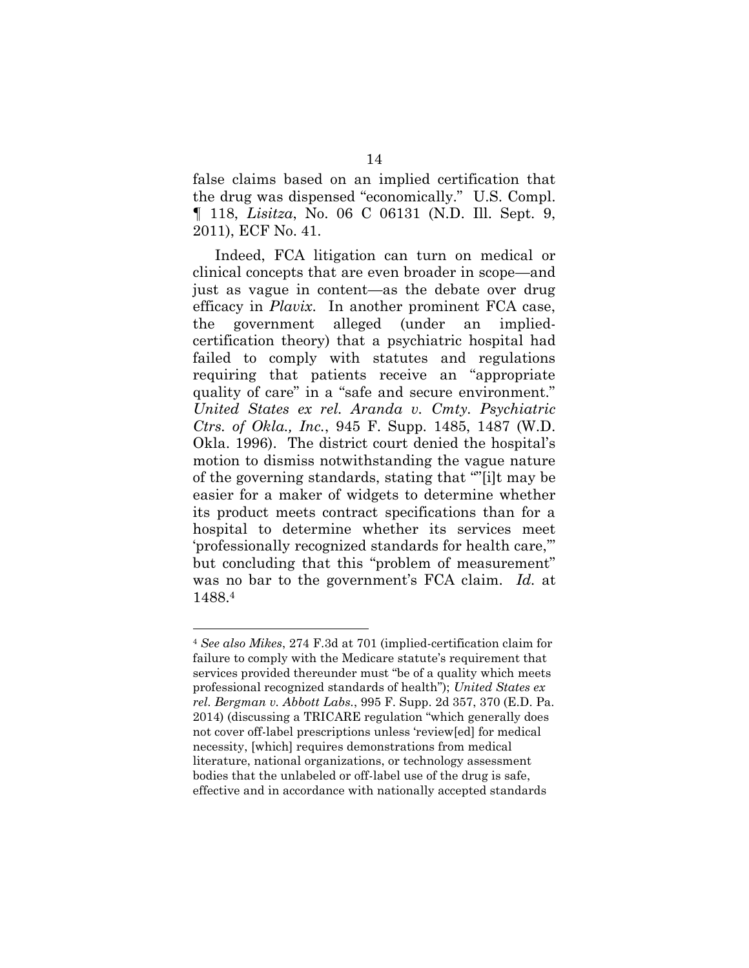false claims based on an implied certification that the drug was dispensed "economically." U.S. Compl. ¶ 118, *Lisitza*, No. 06 C 06131 (N.D. Ill. Sept. 9, 2011), ECF No. 41.

Indeed, FCA litigation can turn on medical or clinical concepts that are even broader in scope—and just as vague in content—as the debate over drug efficacy in *Plavix*. In another prominent FCA case, the government alleged (under an impliedcertification theory) that a psychiatric hospital had failed to comply with statutes and regulations requiring that patients receive an "appropriate quality of care" in a "safe and secure environment." *United States ex rel. Aranda v. Cmty. Psychiatric Ctrs. of Okla., Inc.*, 945 F. Supp. 1485, 1487 (W.D. Okla. 1996). The district court denied the hospital's motion to dismiss notwithstanding the vague nature of the governing standards, stating that ""[i]t may be easier for a maker of widgets to determine whether its product meets contract specifications than for a hospital to determine whether its services meet 'professionally recognized standards for health care,'" but concluding that this "problem of measurement" was no bar to the government's FCA claim. *Id.* at 1488.<sup>4</sup>

<sup>4</sup> *See also Mikes*, 274 F.3d at 701 (implied-certification claim for failure to comply with the Medicare statute's requirement that services provided thereunder must "be of a quality which meets professional recognized standards of health"); *United States ex rel. Bergman v. Abbott Labs.*, 995 F. Supp. 2d 357, 370 (E.D. Pa. 2014) (discussing a TRICARE regulation "which generally does not cover off-label prescriptions unless 'review[ed] for medical necessity, [which] requires demonstrations from medical literature, national organizations, or technology assessment bodies that the unlabeled or off-label use of the drug is safe, effective and in accordance with nationally accepted standards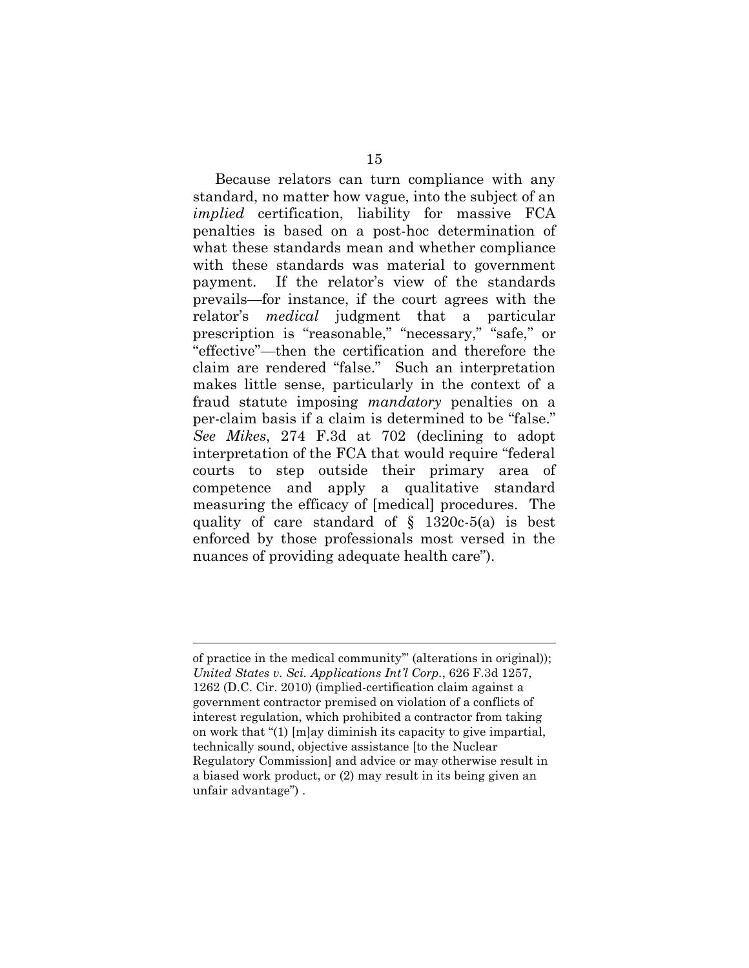Because relators can turn compliance with any standard, no matter how vague, into the subject of an *implied* certification, liability for massive FCA penalties is based on a post-hoc determination of what these standards mean and whether compliance with these standards was material to government payment. If the relator's view of the standards prevails—for instance, if the court agrees with the relator's *medical* judgment that a particular prescription is "reasonable," "necessary," "safe," or "effective"—then the certification and therefore the claim are rendered "false." Such an interpretation makes little sense, particularly in the context of a fraud statute imposing *mandatory* penalties on a per-claim basis if a claim is determined to be "false." *See Mikes*, 274 F.3d at 702 (declining to adopt interpretation of the FCA that would require "federal courts to step outside their primary area of competence and apply a qualitative standard measuring the efficacy of [medical] procedures. The quality of care standard of § 1320c-5(a) is best enforced by those professionals most versed in the nuances of providing adequate health care").

of practice in the medical community'" (alterations in original)); *United States v. Sci. Applications Int'l Corp.*, 626 F.3d 1257, 1262 (D.C. Cir. 2010) (implied-certification claim against a government contractor premised on violation of a conflicts of interest regulation, which prohibited a contractor from taking on work that "(1) [m]ay diminish its capacity to give impartial, technically sound, objective assistance [to the Nuclear Regulatory Commission] and advice or may otherwise result in a biased work product, or (2) may result in its being given an unfair advantage") .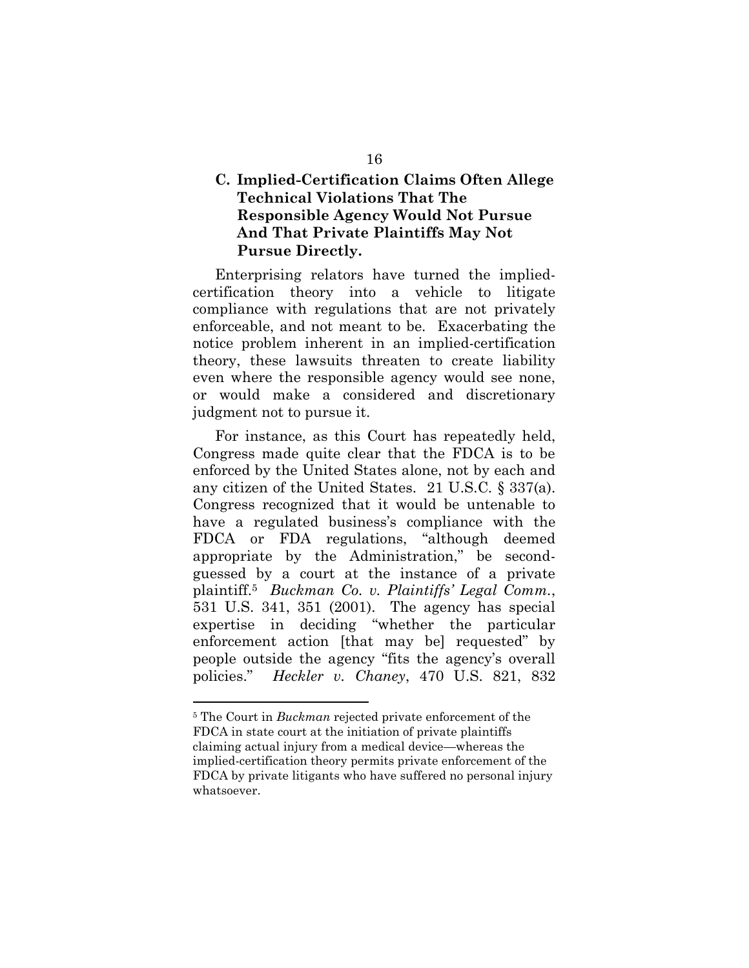## **C. Implied-Certification Claims Often Allege Technical Violations That The Responsible Agency Would Not Pursue And That Private Plaintiffs May Not Pursue Directly.**

Enterprising relators have turned the impliedcertification theory into a vehicle to litigate compliance with regulations that are not privately enforceable, and not meant to be. Exacerbating the notice problem inherent in an implied-certification theory, these lawsuits threaten to create liability even where the responsible agency would see none, or would make a considered and discretionary judgment not to pursue it.

For instance, as this Court has repeatedly held, Congress made quite clear that the FDCA is to be enforced by the United States alone, not by each and any citizen of the United States. 21 U.S.C. § 337(a). Congress recognized that it would be untenable to have a regulated business's compliance with the FDCA or FDA regulations, "although deemed appropriate by the Administration," be secondguessed by a court at the instance of a private plaintiff.<sup>5</sup> *Buckman Co. v. Plaintiffs' Legal Comm.*, 531 U.S. 341, 351 (2001). The agency has special expertise in deciding "whether the particular enforcement action [that may be] requested" by people outside the agency "fits the agency's overall policies." *Heckler v. Chaney*, 470 U.S. 821, 832

<sup>5</sup> The Court in *Buckman* rejected private enforcement of the FDCA in state court at the initiation of private plaintiffs claiming actual injury from a medical device—whereas the implied-certification theory permits private enforcement of the FDCA by private litigants who have suffered no personal injury whatsoever.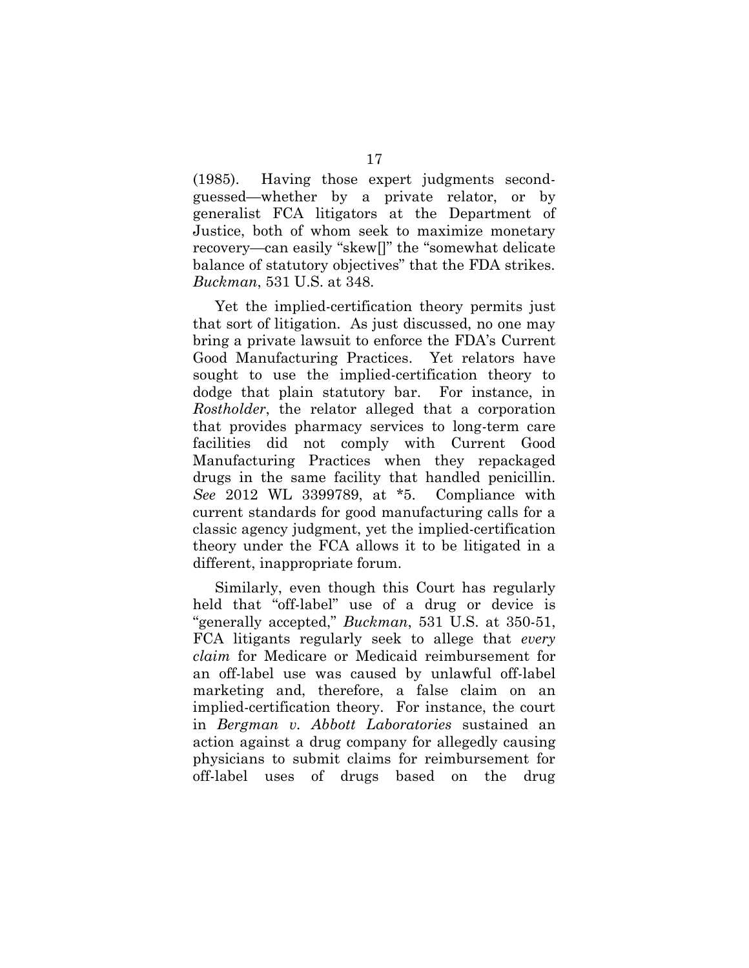(1985). Having those expert judgments secondguessed—whether by a private relator, or by generalist FCA litigators at the Department of Justice, both of whom seek to maximize monetary recovery—can easily "skew[]" the "somewhat delicate balance of statutory objectives" that the FDA strikes. *Buckman*, 531 U.S. at 348.

Yet the implied-certification theory permits just that sort of litigation. As just discussed, no one may bring a private lawsuit to enforce the FDA's Current Good Manufacturing Practices. Yet relators have sought to use the implied-certification theory to dodge that plain statutory bar. For instance, in *Rostholder*, the relator alleged that a corporation that provides pharmacy services to long-term care facilities did not comply with Current Good Manufacturing Practices when they repackaged drugs in the same facility that handled penicillin. *See* 2012 WL 3399789, at \*5. Compliance with current standards for good manufacturing calls for a classic agency judgment, yet the implied-certification theory under the FCA allows it to be litigated in a different, inappropriate forum.

Similarly, even though this Court has regularly held that "off-label" use of a drug or device is "generally accepted," *Buckman*, 531 U.S. at 350-51, FCA litigants regularly seek to allege that *every claim* for Medicare or Medicaid reimbursement for an off-label use was caused by unlawful off-label marketing and, therefore, a false claim on an implied-certification theory. For instance, the court in *Bergman v. Abbott Laboratories* sustained an action against a drug company for allegedly causing physicians to submit claims for reimbursement for off-label uses of drugs based on the drug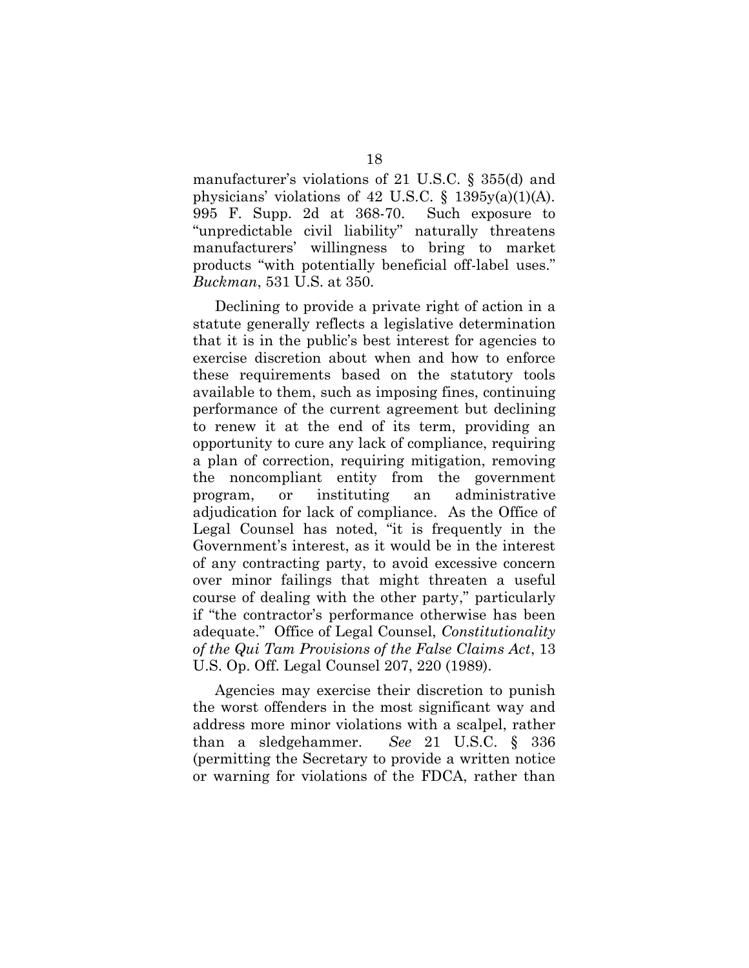manufacturer's violations of 21 U.S.C. § 355(d) and physicians' violations of 42 U.S.C. § 1395y(a)(1)(A). 995 F. Supp. 2d at 368-70. Such exposure to "unpredictable civil liability" naturally threatens manufacturers' willingness to bring to market products "with potentially beneficial off-label uses." *Buckman*, 531 U.S. at 350.

Declining to provide a private right of action in a statute generally reflects a legislative determination that it is in the public's best interest for agencies to exercise discretion about when and how to enforce these requirements based on the statutory tools available to them, such as imposing fines, continuing performance of the current agreement but declining to renew it at the end of its term, providing an opportunity to cure any lack of compliance, requiring a plan of correction, requiring mitigation, removing the noncompliant entity from the government program, or instituting an administrative adjudication for lack of compliance. As the Office of Legal Counsel has noted, "it is frequently in the Government's interest, as it would be in the interest of any contracting party, to avoid excessive concern over minor failings that might threaten a useful course of dealing with the other party," particularly if "the contractor's performance otherwise has been adequate." Office of Legal Counsel, *Constitutionality of the Qui Tam Provisions of the False Claims Act*, 13 U.S. Op. Off. Legal Counsel 207, 220 (1989).

Agencies may exercise their discretion to punish the worst offenders in the most significant way and address more minor violations with a scalpel, rather than a sledgehammer. *See* 21 U.S.C. § 336 (permitting the Secretary to provide a written notice or warning for violations of the FDCA, rather than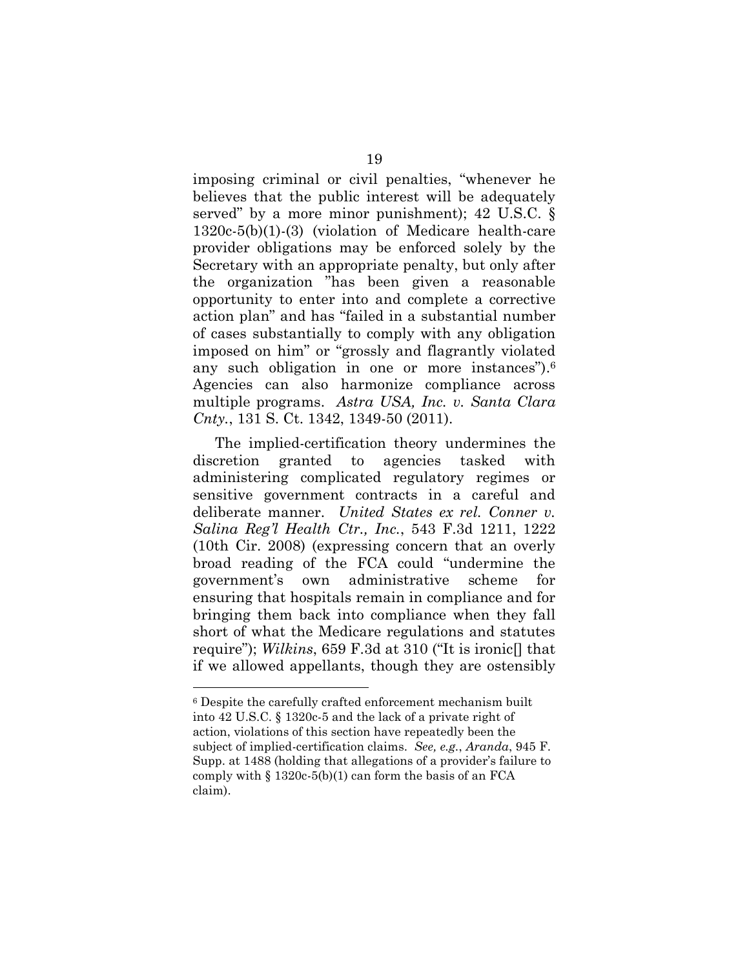imposing criminal or civil penalties, "whenever he believes that the public interest will be adequately served" by a more minor punishment); 42 U.S.C. § 1320c-5(b)(1)-(3) (violation of Medicare health-care provider obligations may be enforced solely by the Secretary with an appropriate penalty, but only after the organization "has been given a reasonable opportunity to enter into and complete a corrective action plan" and has "failed in a substantial number of cases substantially to comply with any obligation imposed on him" or "grossly and flagrantly violated any such obligation in one or more instances"). 6 Agencies can also harmonize compliance across multiple programs. *Astra USA, Inc. v. Santa Clara Cnty.*, 131 S. Ct. 1342, 1349-50 (2011).

The implied-certification theory undermines the discretion granted to agencies tasked with administering complicated regulatory regimes or sensitive government contracts in a careful and deliberate manner. *United States ex rel. Conner v. Salina Reg'l Health Ctr., Inc.*, 543 F.3d 1211, 1222 (10th Cir. 2008) (expressing concern that an overly broad reading of the FCA could "undermine the government's own administrative scheme for ensuring that hospitals remain in compliance and for bringing them back into compliance when they fall short of what the Medicare regulations and statutes require"); *Wilkins*, 659 F.3d at 310 ("It is ironic[] that if we allowed appellants, though they are ostensibly

<sup>6</sup> Despite the carefully crafted enforcement mechanism built into 42 U.S.C. § 1320c-5 and the lack of a private right of action, violations of this section have repeatedly been the subject of implied-certification claims. *See, e.g.*, *Aranda*, 945 F. Supp. at 1488 (holding that allegations of a provider's failure to comply with  $\S 1320c-5(b)(1)$  can form the basis of an FCA claim).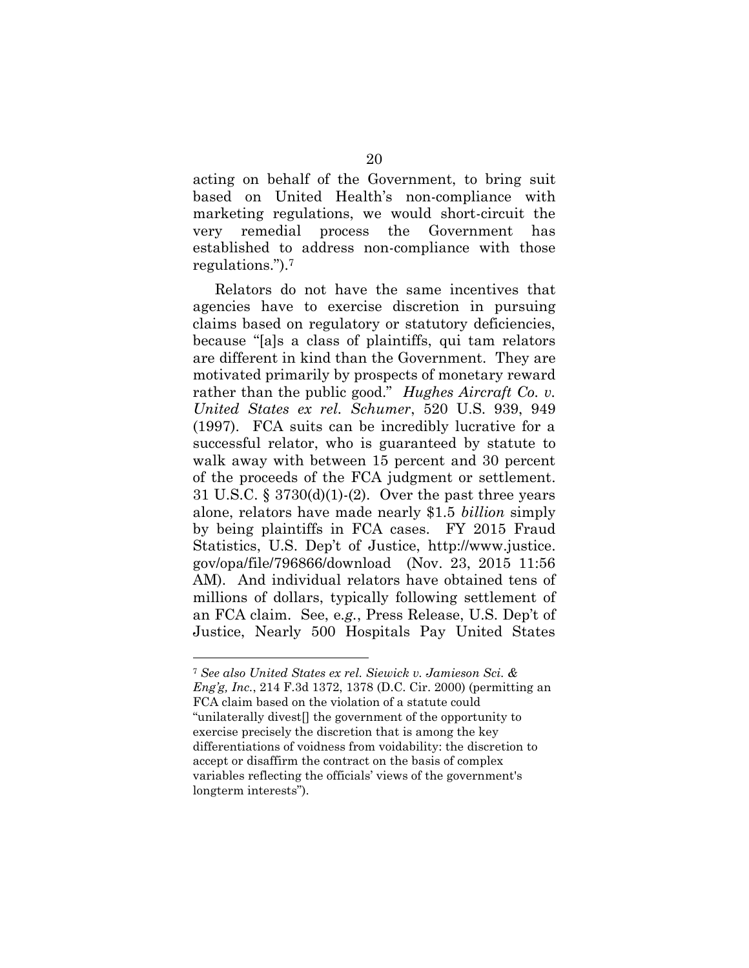acting on behalf of the Government, to bring suit based on United Health's non-compliance with marketing regulations, we would short-circuit the very remedial process the Government has established to address non-compliance with those regulations.").<sup>7</sup>

Relators do not have the same incentives that agencies have to exercise discretion in pursuing claims based on regulatory or statutory deficiencies, because "[a]s a class of plaintiffs, qui tam relators are different in kind than the Government. They are motivated primarily by prospects of monetary reward rather than the public good." *Hughes Aircraft Co. v. United States ex rel. Schumer*, 520 U.S. 939, 949 (1997). FCA suits can be incredibly lucrative for a successful relator, who is guaranteed by statute to walk away with between 15 percent and 30 percent of the proceeds of the FCA judgment or settlement. 31 U.S.C. § 3730(d)(1)-(2). Over the past three years alone, relators have made nearly \$1.5 *billion* simply by being plaintiffs in FCA cases. FY 2015 Fraud Statistics, U.S. Dep't of Justice, http://www.justice. gov/opa/file/796866/download (Nov. 23, 2015 11:56 AM). And individual relators have obtained tens of millions of dollars, typically following settlement of an FCA claim. See, e*.g.*, Press Release, U.S. Dep't of Justice, Nearly 500 Hospitals Pay United States

<sup>7</sup> *See also United States ex rel. Siewick v. Jamieson Sci. & Eng'g, Inc.*, 214 F.3d 1372, 1378 (D.C. Cir. 2000) (permitting an FCA claim based on the violation of a statute could "unilaterally divest[] the government of the opportunity to exercise precisely the discretion that is among the key differentiations of voidness from voidability: the discretion to accept or disaffirm the contract on the basis of complex variables reflecting the officials' views of the government's longterm interests").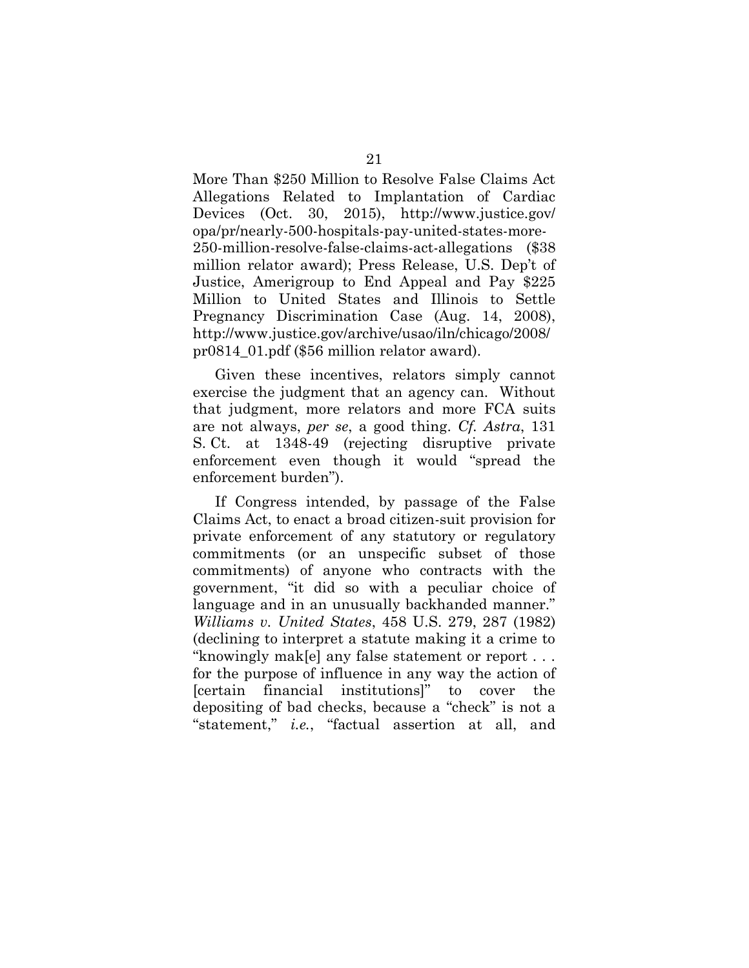More Than \$250 Million to Resolve False Claims Act Allegations Related to Implantation of Cardiac Devices (Oct. 30, 2015), http://www.justice.gov/ opa/pr/nearly-500-hospitals-pay-united-states-more-250-million-resolve-false-claims-act-allegations (\$38 million relator award); Press Release, U.S. Dep't of Justice, Amerigroup to End Appeal and Pay \$225 Million to United States and Illinois to Settle Pregnancy Discrimination Case (Aug. 14, 2008), http://www.justice.gov/archive/usao/iln/chicago/2008/ pr0814\_01.pdf (\$56 million relator award).

Given these incentives, relators simply cannot exercise the judgment that an agency can. Without that judgment, more relators and more FCA suits are not always, *per se*, a good thing. *Cf. Astra*, 131 S. Ct. at 1348-49 (rejecting disruptive private enforcement even though it would "spread the enforcement burden").

If Congress intended, by passage of the False Claims Act, to enact a broad citizen-suit provision for private enforcement of any statutory or regulatory commitments (or an unspecific subset of those commitments) of anyone who contracts with the government, "it did so with a peculiar choice of language and in an unusually backhanded manner." *Williams v. United States*, 458 U.S. 279, 287 (1982) (declining to interpret a statute making it a crime to "knowingly mak[e] any false statement or report . . . for the purpose of influence in any way the action of [certain financial institutions]" to cover the depositing of bad checks, because a "check" is not a "statement," *i.e.*, "factual assertion at all, and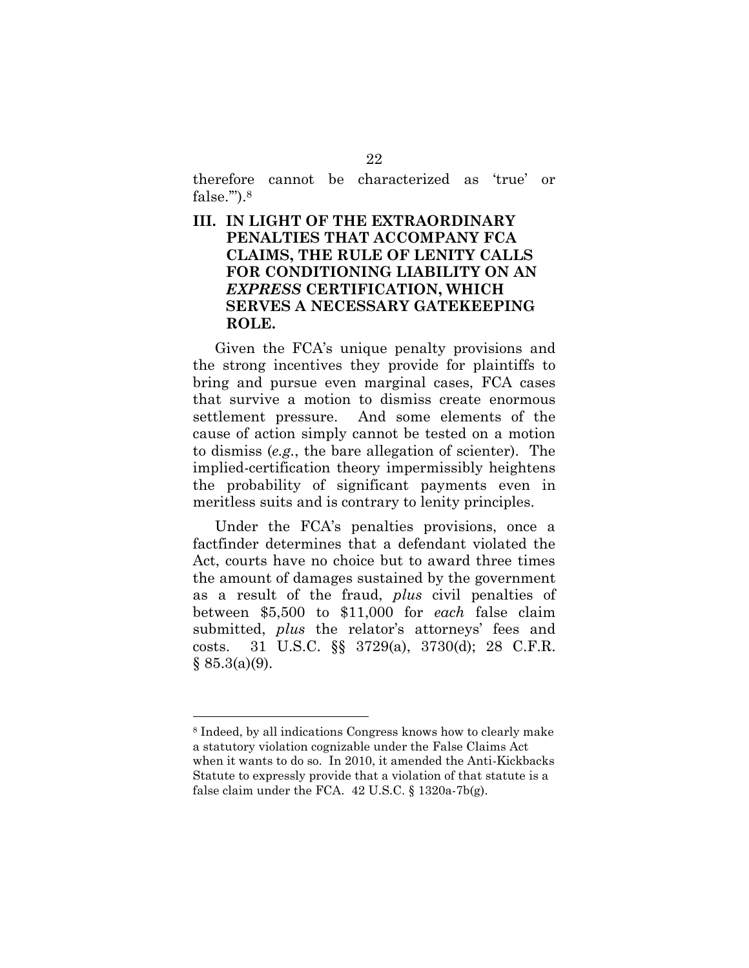therefore cannot be characterized as 'true' or false.'"). 8

### **III. IN LIGHT OF THE EXTRAORDINARY PENALTIES THAT ACCOMPANY FCA CLAIMS, THE RULE OF LENITY CALLS FOR CONDITIONING LIABILITY ON AN** *EXPRESS* **CERTIFICATION, WHICH SERVES A NECESSARY GATEKEEPING ROLE.**

Given the FCA's unique penalty provisions and the strong incentives they provide for plaintiffs to bring and pursue even marginal cases, FCA cases that survive a motion to dismiss create enormous settlement pressure. And some elements of the cause of action simply cannot be tested on a motion to dismiss (*e.g.*, the bare allegation of scienter). The implied-certification theory impermissibly heightens the probability of significant payments even in meritless suits and is contrary to lenity principles.

Under the FCA's penalties provisions, once a factfinder determines that a defendant violated the Act, courts have no choice but to award three times the amount of damages sustained by the government as a result of the fraud, *plus* civil penalties of between \$5,500 to \$11,000 for *each* false claim submitted, *plus* the relator's attorneys' fees and costs. 31 U.S.C. §§ 3729(a), 3730(d); 28 C.F.R.  $§ 85.3(a)(9).$ 

<sup>8</sup> Indeed, by all indications Congress knows how to clearly make a statutory violation cognizable under the False Claims Act when it wants to do so. In 2010, it amended the Anti-Kickbacks Statute to expressly provide that a violation of that statute is a false claim under the FCA. 42 U.S.C. § 1320a-7b(g).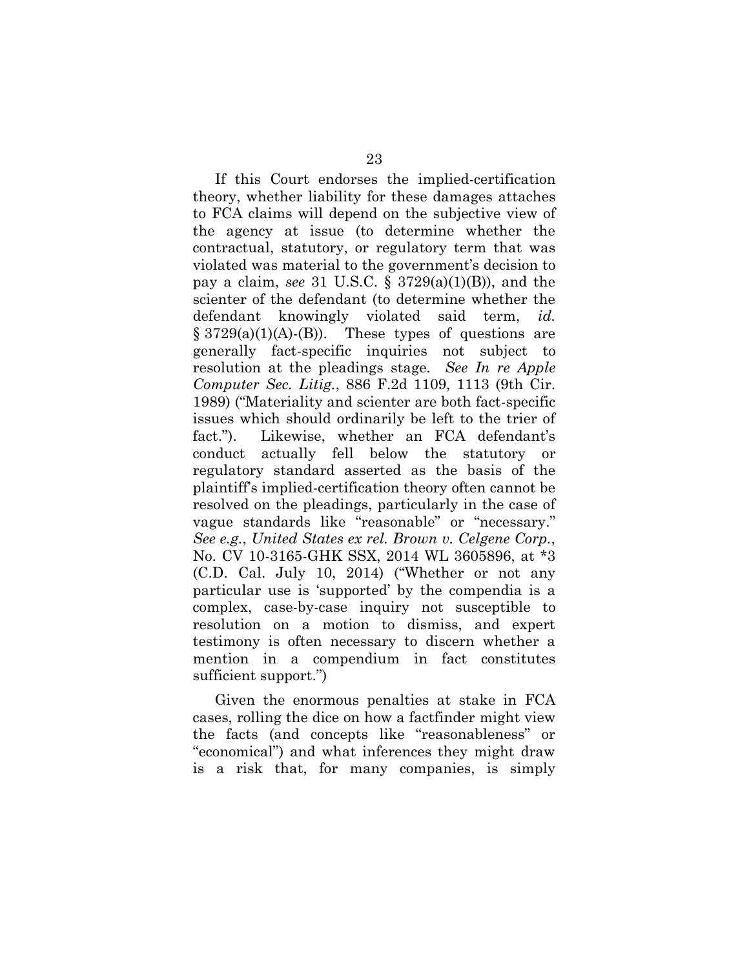If this Court endorses the implied-certification theory, whether liability for these damages attaches to FCA claims will depend on the subjective view of the agency at issue (to determine whether the contractual, statutory, or regulatory term that was violated was material to the government's decision to pay a claim, *see* 31 U.S.C. § 3729(a)(1)(B)), and the scienter of the defendant (to determine whether the defendant knowingly violated said term, *id.*  $\S 3729(a)(1)(A)$ -(B)). These types of questions are generally fact-specific inquiries not subject to resolution at the pleadings stage. *See In re Apple Computer Sec. Litig.*, 886 F.2d 1109, 1113 (9th Cir. 1989) ("Materiality and scienter are both fact-specific issues which should ordinarily be left to the trier of fact."). Likewise, whether an FCA defendant's conduct actually fell below the statutory or regulatory standard asserted as the basis of the plaintiff's implied-certification theory often cannot be resolved on the pleadings, particularly in the case of vague standards like "reasonable" or "necessary." *See e.g.*, *United States ex rel. Brown v. Celgene Corp.*, No. CV 10-3165-GHK SSX, 2014 WL 3605896, at \*3 (C.D. Cal. July 10, 2014) ("Whether or not any particular use is 'supported' by the compendia is a complex, case-by-case inquiry not susceptible to resolution on a motion to dismiss, and expert testimony is often necessary to discern whether a mention in a compendium in fact constitutes sufficient support.")

Given the enormous penalties at stake in FCA cases, rolling the dice on how a factfinder might view the facts (and concepts like "reasonableness" or "economical") and what inferences they might draw is a risk that, for many companies, is simply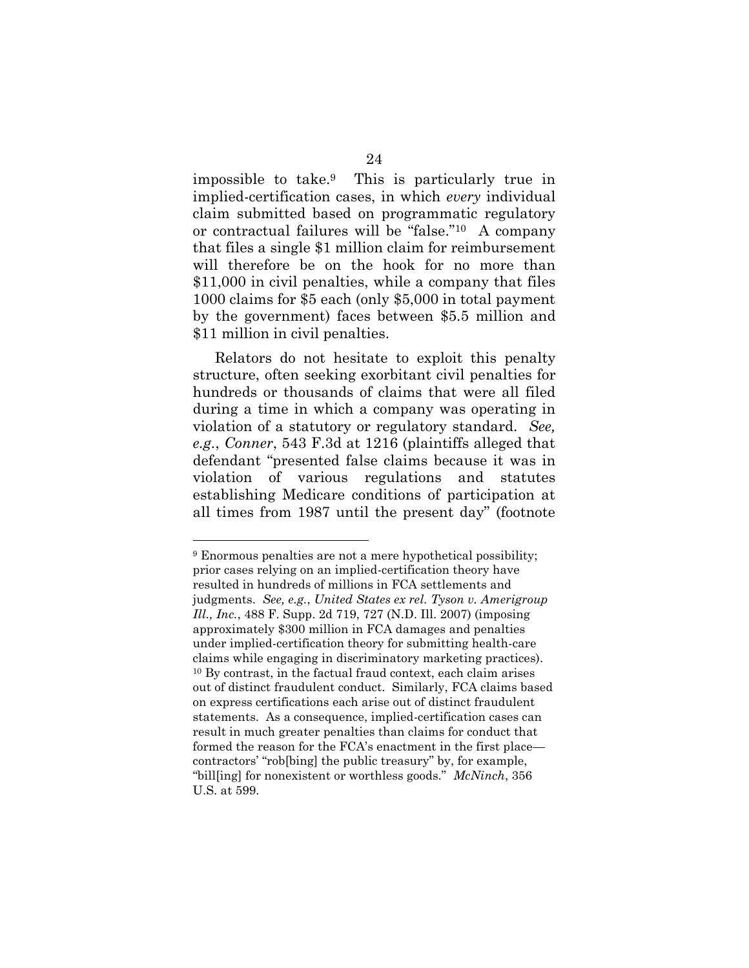impossible to take.9 This is particularly true in implied-certification cases, in which *every* individual claim submitted based on programmatic regulatory or contractual failures will be "false."10 A company that files a single \$1 million claim for reimbursement will therefore be on the hook for no more than \$11,000 in civil penalties, while a company that files 1000 claims for \$5 each (only \$5,000 in total payment by the government) faces between \$5.5 million and \$11 million in civil penalties.

Relators do not hesitate to exploit this penalty structure, often seeking exorbitant civil penalties for hundreds or thousands of claims that were all filed during a time in which a company was operating in violation of a statutory or regulatory standard. *See, e.g.*, *Conner*, 543 F.3d at 1216 (plaintiffs alleged that defendant "presented false claims because it was in violation of various regulations and statutes establishing Medicare conditions of participation at all times from 1987 until the present day" (footnote

<sup>9</sup> Enormous penalties are not a mere hypothetical possibility; prior cases relying on an implied-certification theory have resulted in hundreds of millions in FCA settlements and judgments. *See, e.g.*, *United States ex rel. Tyson v. Amerigroup Ill., Inc.*, 488 F. Supp. 2d 719, 727 (N.D. Ill. 2007) (imposing approximately \$300 million in FCA damages and penalties under implied-certification theory for submitting health-care claims while engaging in discriminatory marketing practices). <sup>10</sup> By contrast, in the factual fraud context, each claim arises out of distinct fraudulent conduct. Similarly, FCA claims based on express certifications each arise out of distinct fraudulent statements. As a consequence, implied-certification cases can result in much greater penalties than claims for conduct that formed the reason for the FCA's enactment in the first placecontractors' "rob[bing] the public treasury" by, for example, "bill[ing] for nonexistent or worthless goods." *McNinch*, 356 U.S. at 599.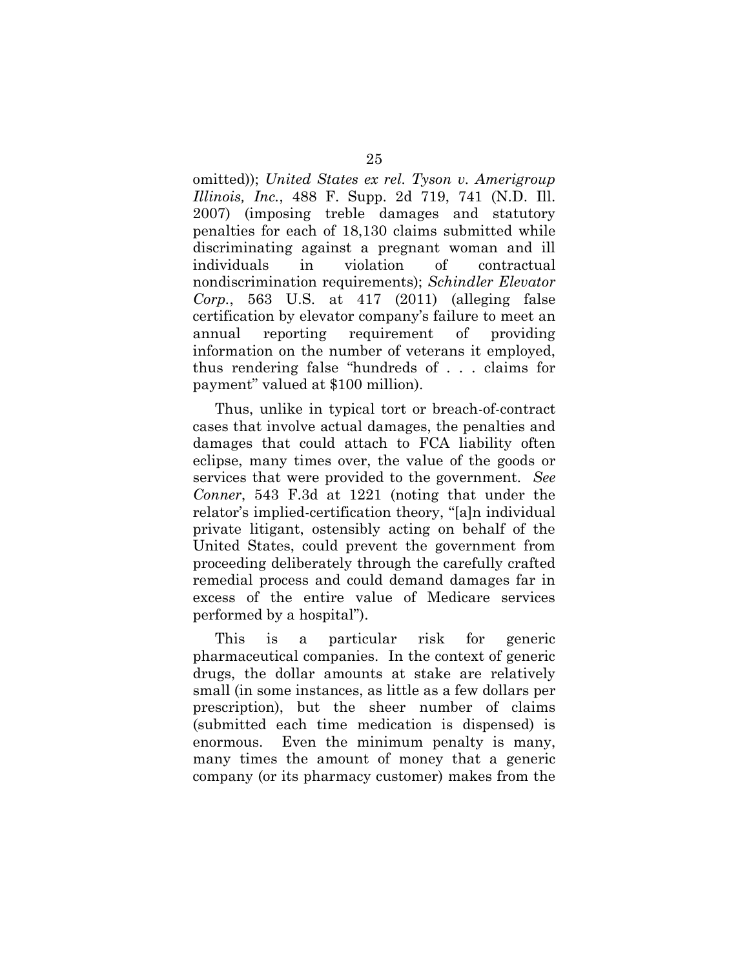omitted)); *United States ex rel. Tyson v. Amerigroup Illinois, Inc.*, 488 F. Supp. 2d 719, 741 (N.D. Ill. 2007) (imposing treble damages and statutory penalties for each of 18,130 claims submitted while discriminating against a pregnant woman and ill individuals in violation of contractual nondiscrimination requirements); *Schindler Elevator Corp.*, 563 U.S. at 417 (2011) (alleging false certification by elevator company's failure to meet an annual reporting requirement of providing information on the number of veterans it employed, thus rendering false "hundreds of . . . claims for payment" valued at \$100 million).

Thus, unlike in typical tort or breach-of-contract cases that involve actual damages, the penalties and damages that could attach to FCA liability often eclipse, many times over, the value of the goods or services that were provided to the government. *See Conner*, 543 F.3d at 1221 (noting that under the relator's implied-certification theory, "[a]n individual private litigant, ostensibly acting on behalf of the United States, could prevent the government from proceeding deliberately through the carefully crafted remedial process and could demand damages far in excess of the entire value of Medicare services performed by a hospital").

This is a particular risk for generic pharmaceutical companies. In the context of generic drugs, the dollar amounts at stake are relatively small (in some instances, as little as a few dollars per prescription), but the sheer number of claims (submitted each time medication is dispensed) is enormous. Even the minimum penalty is many, many times the amount of money that a generic company (or its pharmacy customer) makes from the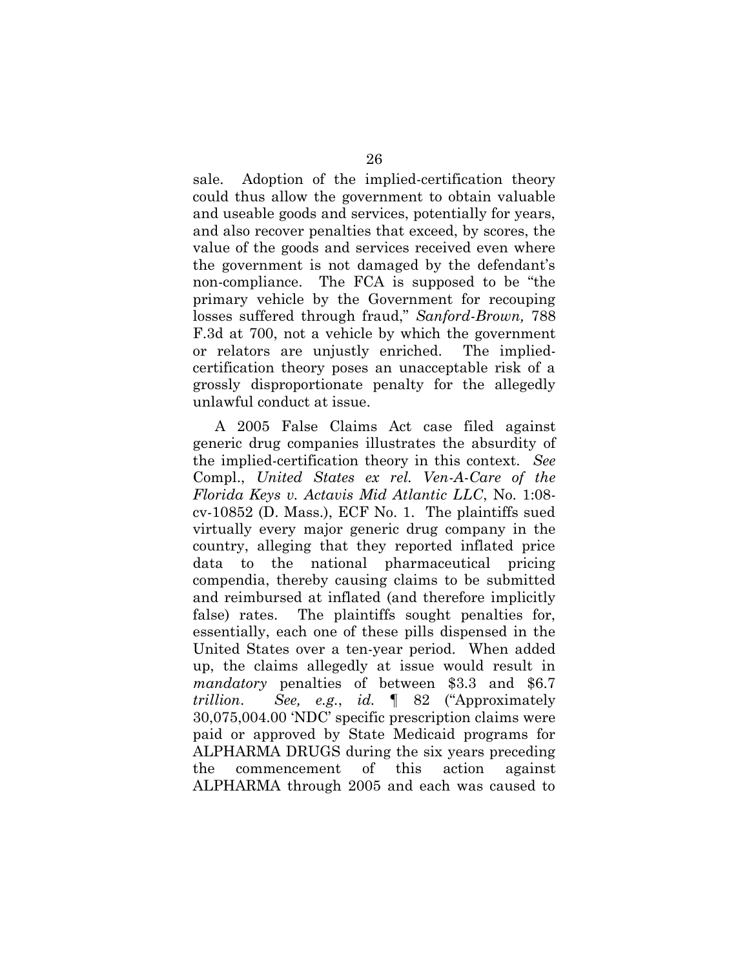sale. Adoption of the implied-certification theory could thus allow the government to obtain valuable and useable goods and services, potentially for years, and also recover penalties that exceed, by scores, the value of the goods and services received even where the government is not damaged by the defendant's non-compliance. The FCA is supposed to be "the primary vehicle by the Government for recouping losses suffered through fraud," *Sanford-Brown,* 788 F.3d at 700, not a vehicle by which the government or relators are unjustly enriched. The impliedcertification theory poses an unacceptable risk of a grossly disproportionate penalty for the allegedly unlawful conduct at issue.

A 2005 False Claims Act case filed against generic drug companies illustrates the absurdity of the implied-certification theory in this context. *See*  Compl., *United States ex rel. Ven-A-Care of the Florida Keys v. Actavis Mid Atlantic LLC*, No. 1:08 cv-10852 (D. Mass.), ECF No. 1. The plaintiffs sued virtually every major generic drug company in the country, alleging that they reported inflated price data to the national pharmaceutical pricing compendia, thereby causing claims to be submitted and reimbursed at inflated (and therefore implicitly false) rates. The plaintiffs sought penalties for, essentially, each one of these pills dispensed in the United States over a ten-year period. When added up, the claims allegedly at issue would result in *mandatory* penalties of between \$3.3 and \$6.7 *trillion*. *See, e.g.*, *id.* ¶ 82 ("Approximately 30,075,004.00 'NDC' specific prescription claims were paid or approved by State Medicaid programs for ALPHARMA DRUGS during the six years preceding the commencement of this action against ALPHARMA through 2005 and each was caused to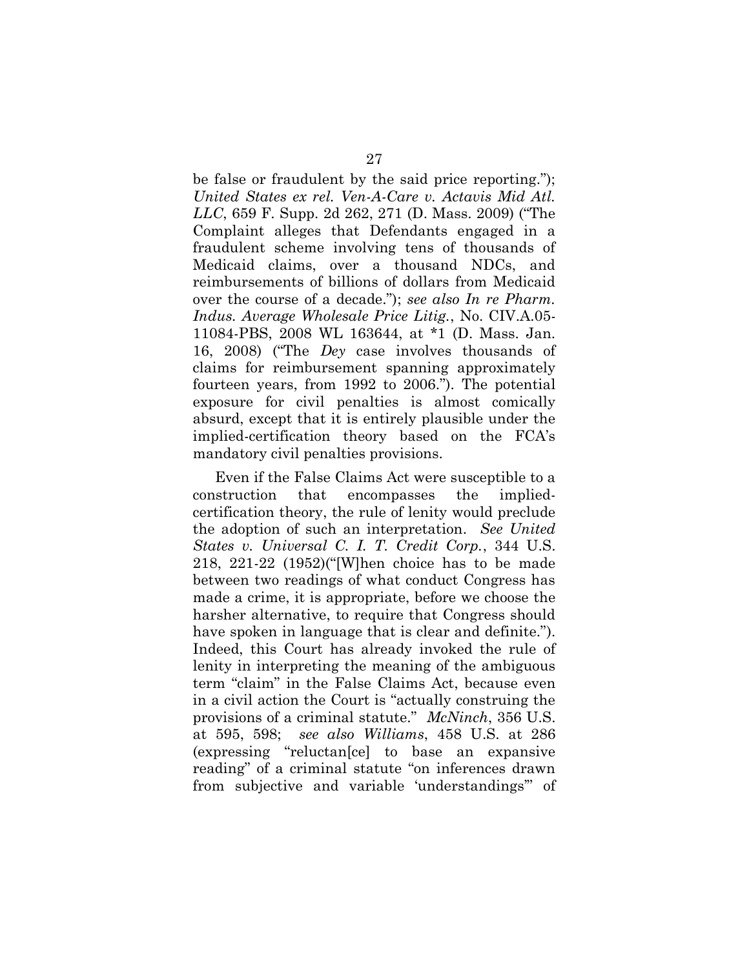be false or fraudulent by the said price reporting."); *United States ex rel. Ven-A-Care v. Actavis Mid Atl. LLC*, 659 F. Supp. 2d 262, 271 (D. Mass. 2009) ("The Complaint alleges that Defendants engaged in a fraudulent scheme involving tens of thousands of Medicaid claims, over a thousand NDCs, and reimbursements of billions of dollars from Medicaid over the course of a decade."); *see also In re Pharm. Indus. Average Wholesale Price Litig.*, No. CIV.A.05- 11084-PBS, 2008 WL 163644, at \*1 (D. Mass. Jan. 16, 2008) ("The *Dey* case involves thousands of claims for reimbursement spanning approximately fourteen years, from 1992 to 2006."). The potential exposure for civil penalties is almost comically absurd, except that it is entirely plausible under the implied-certification theory based on the FCA's mandatory civil penalties provisions.

Even if the False Claims Act were susceptible to a construction that encompasses the impliedcertification theory, the rule of lenity would preclude the adoption of such an interpretation. *See United States v. Universal C. I. T. Credit Corp.*, 344 U.S. 218, 221-22 (1952)("[W]hen choice has to be made between two readings of what conduct Congress has made a crime, it is appropriate, before we choose the harsher alternative, to require that Congress should have spoken in language that is clear and definite."). Indeed, this Court has already invoked the rule of lenity in interpreting the meaning of the ambiguous term "claim" in the False Claims Act, because even in a civil action the Court is "actually construing the provisions of a criminal statute." *McNinch*, 356 U.S. at 595, 598; *see also Williams*, 458 U.S. at 286 (expressing "reluctan[ce] to base an expansive reading" of a criminal statute "on inferences drawn from subjective and variable 'understandings'" of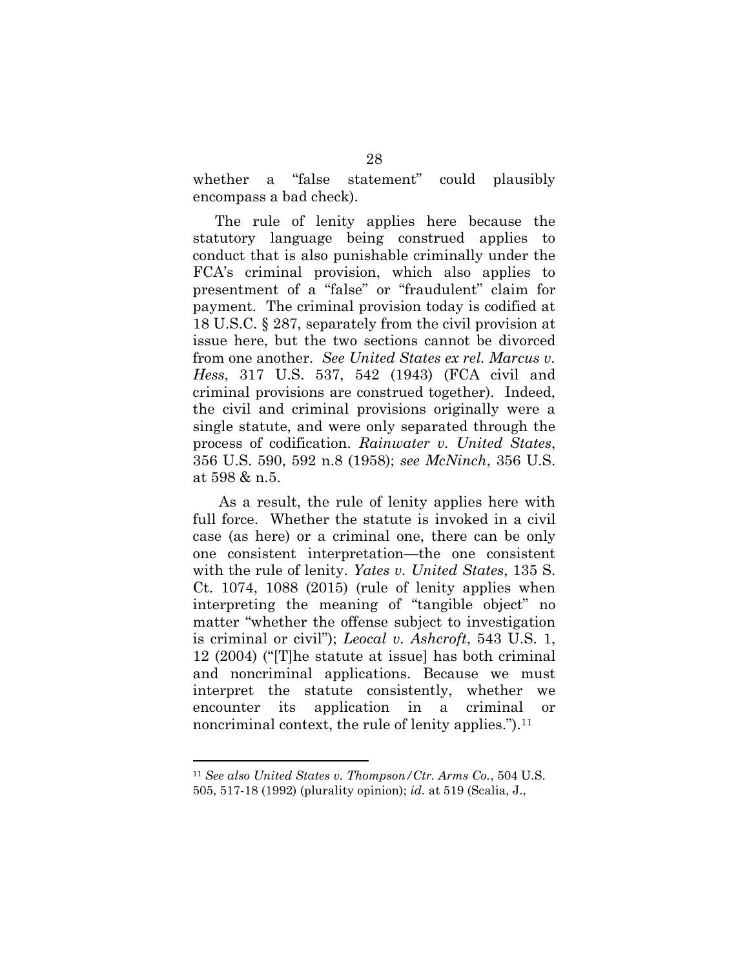whether a "false statement" could plausibly encompass a bad check).

The rule of lenity applies here because the statutory language being construed applies to conduct that is also punishable criminally under the FCA's criminal provision, which also applies to presentment of a "false" or "fraudulent" claim for payment. The criminal provision today is codified at 18 U.S.C. § 287, separately from the civil provision at issue here, but the two sections cannot be divorced from one another. *See United States ex rel. Marcus v. Hess*, 317 U.S. 537, 542 (1943) (FCA civil and criminal provisions are construed together). Indeed, the civil and criminal provisions originally were a single statute, and were only separated through the process of codification. *Rainwater v. United States*, 356 U.S. 590, 592 n.8 (1958); *see McNinch*, 356 U.S. at 598 & n.5.

As a result, the rule of lenity applies here with full force. Whether the statute is invoked in a civil case (as here) or a criminal one, there can be only one consistent interpretation—the one consistent with the rule of lenity. *Yates v. United States*, 135 S. Ct. 1074, 1088 (2015) (rule of lenity applies when interpreting the meaning of "tangible object" no matter "whether the offense subject to investigation is criminal or civil"); *Leocal v. Ashcroft*, 543 U.S. 1, 12 (2004) ("[T]he statute at issue] has both criminal and noncriminal applications. Because we must interpret the statute consistently, whether we encounter its application in a criminal or noncriminal context, the rule of lenity applies.").<sup>11</sup>

<sup>11</sup> *See also United States v. Thompson/Ctr. Arms Co.*, 504 U.S. 505, 517-18 (1992) (plurality opinion); *id.* at 519 (Scalia, J.,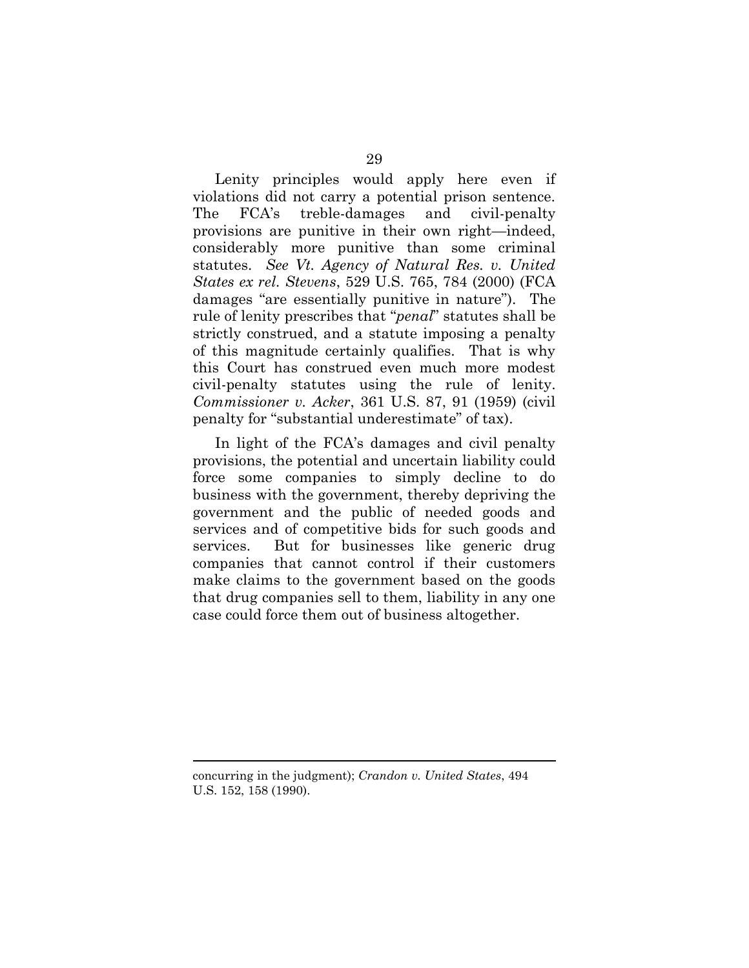Lenity principles would apply here even if violations did not carry a potential prison sentence. The FCA's treble-damages and civil-penalty provisions are punitive in their own right—indeed, considerably more punitive than some criminal statutes. *See Vt. Agency of Natural Res. v. United States ex rel. Stevens*, 529 U.S. 765, 784 (2000) (FCA damages "are essentially punitive in nature"). The rule of lenity prescribes that "*penal*" statutes shall be strictly construed, and a statute imposing a penalty of this magnitude certainly qualifies. That is why this Court has construed even much more modest civil-penalty statutes using the rule of lenity. *Commissioner v. Acker*, 361 U.S. 87, 91 (1959) (civil penalty for "substantial underestimate" of tax).

In light of the FCA's damages and civil penalty provisions, the potential and uncertain liability could force some companies to simply decline to do business with the government, thereby depriving the government and the public of needed goods and services and of competitive bids for such goods and services. But for businesses like generic drug companies that cannot control if their customers make claims to the government based on the goods that drug companies sell to them, liability in any one case could force them out of business altogether.

concurring in the judgment); *Crandon v. United States*, 494 U.S. 152, 158 (1990).